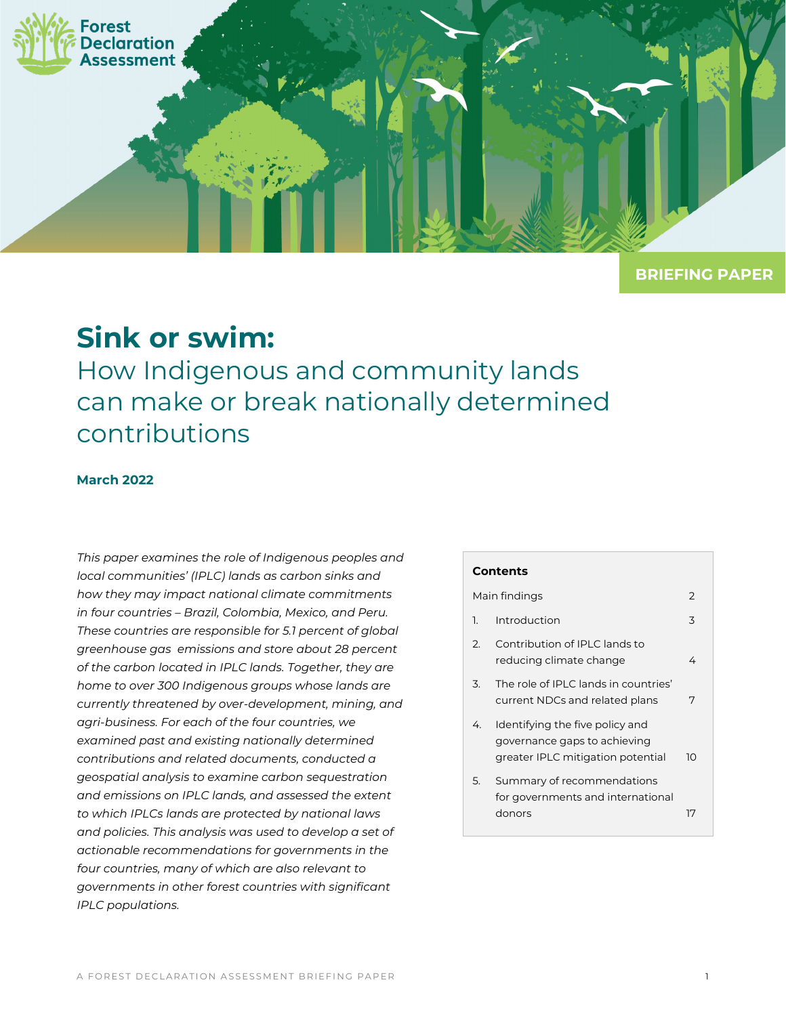

**BRIEFING PAPER**

# **Sink or swim:**

How Indigenous and community lands can make or break nationally determined contributions

#### **March 2022**

*This paper examines the role of Indigenous peoples and local communities' (IPLC) lands as carbon sinks and how they may impact national climate commitments in four countries – Brazil, Colombia, Mexico, and Peru. These countries are responsible for 5.1 percent of global greenhouse gas emissions and store about 28 percent of the carbon located in IPLC lands. Together, they are home to over 300 Indigenous groups whose lands are currently threatened by over-development, mining, and agri-business. For each of the four countries, we examined past and existing nationally determined contributions and related documents, conducted a geospatial analysis to examine carbon sequestration and emissions on IPLC lands, and assessed the extent to which IPLCs lands are protected by national laws and policies. This analysis was used to develop a set of actionable recommendations for governments in the four countries, many of which are also relevant to governments in other forest countries with significant IPLC populations.* 

#### **Contents**

| Main findings |                                                                                                      |    |  |
|---------------|------------------------------------------------------------------------------------------------------|----|--|
| 1.            | Introduction                                                                                         | 3  |  |
| 2.            | Contribution of IPLC lands to<br>reducing climate change                                             | 4  |  |
| 3.            | The role of IPLC lands in countries'<br>current NDCs and related plans                               | 7  |  |
| 4.            | Identifying the five policy and<br>governance gaps to achieving<br>greater IPLC mitigation potential | 10 |  |
| 5.            | Summary of recommendations<br>for governments and international                                      |    |  |
|               | donors                                                                                               | 17 |  |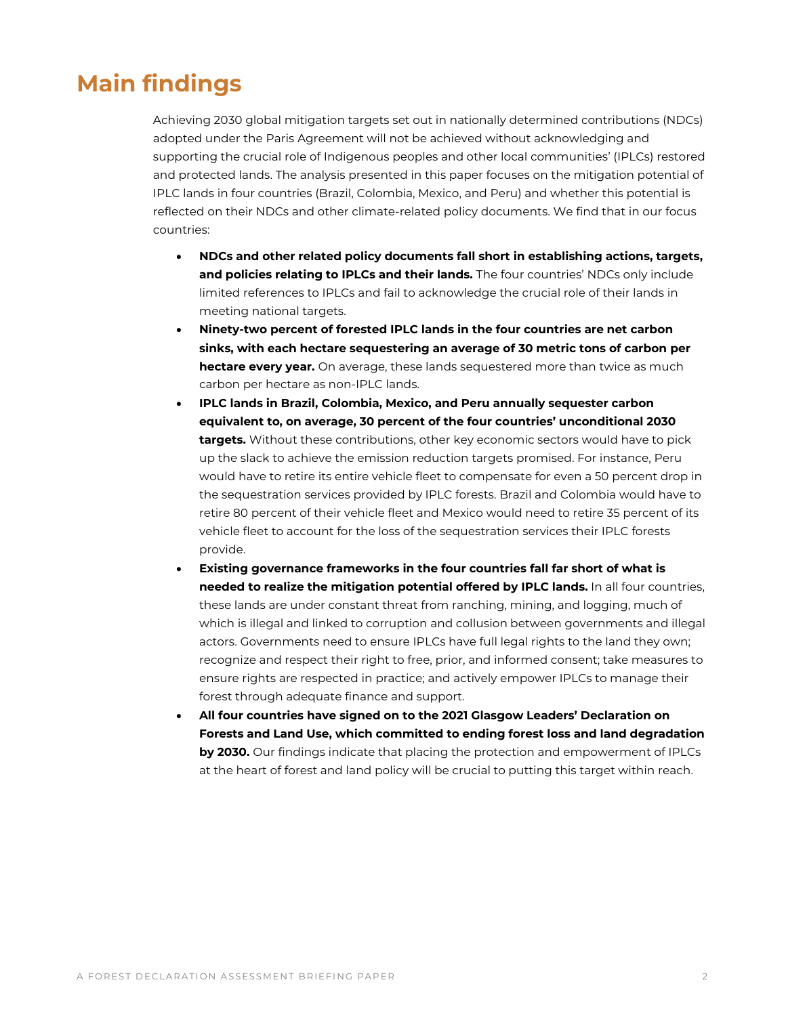## <span id="page-1-0"></span>**Main findings**

Achieving 2030 global mitigation targets set out in nationally determined contributions (NDCs) adopted under the Paris Agreement will not be achieved without acknowledging and supporting the crucial role of Indigenous peoples and other local communities' (IPLCs) restored and protected lands. The analysis presented in this paper focuses on the mitigation potential of IPLC lands in four countries (Brazil, Colombia, Mexico, and Peru) and whether this potential is reflected on their NDCs and other climate-related policy documents. We find that in our focus countries:

- **NDCs and other related policy documents fall short in establishing actions, targets, and policies relating to IPLCs and their lands.** The four countries' NDCs only include limited references to IPLCs and fail to acknowledge the crucial role of their lands in meeting national targets.
- **Ninety-two percent of forested IPLC lands in the four countries are net carbon sinks, with each hectare sequestering an average of 30 metric tons of carbon per hectare every year.** On average, these lands sequestered more than twice as much carbon per hectare as non-IPLC lands.
- **IPLC lands in Brazil, Colombia, Mexico, and Peru annually sequester carbon equivalent to, on average, 30 percent of the four countries' unconditional 2030 targets.** Without these contributions, other key economic sectors would have to pick up the slack to achieve the emission reduction targets promised. For instance, Peru would have to retire its entire vehicle fleet to compensate for even a 50 percent drop in the sequestration services provided by IPLC forests. Brazil and Colombia would have to retire 80 percent of their vehicle fleet and Mexico would need to retire 35 percent of its vehicle fleet to account for the loss of the sequestration services their IPLC forests provide.
- **Existing governance frameworks in the four countries fall far short of what is needed to realize the mitigation potential offered by IPLC lands.** In all four countries, these lands are under constant threat from ranching, mining, and logging, much of which is illegal and linked to corruption and collusion between governments and illegal actors. Governments need to ensure IPLCs have full legal rights to the land they own; recognize and respect their right to free, prior, and informed consent; take measures to ensure rights are respected in practice; and actively empower IPLCs to manage their forest through adequate finance and support.
- **All four countries have signed on to the 2021 Glasgow Leaders' Declaration on Forests and Land Use, which committed to ending forest loss and land degradation by 2030.** Our findings indicate that placing the protection and empowerment of IPLCs at the heart of forest and land policy will be crucial to putting this target within reach.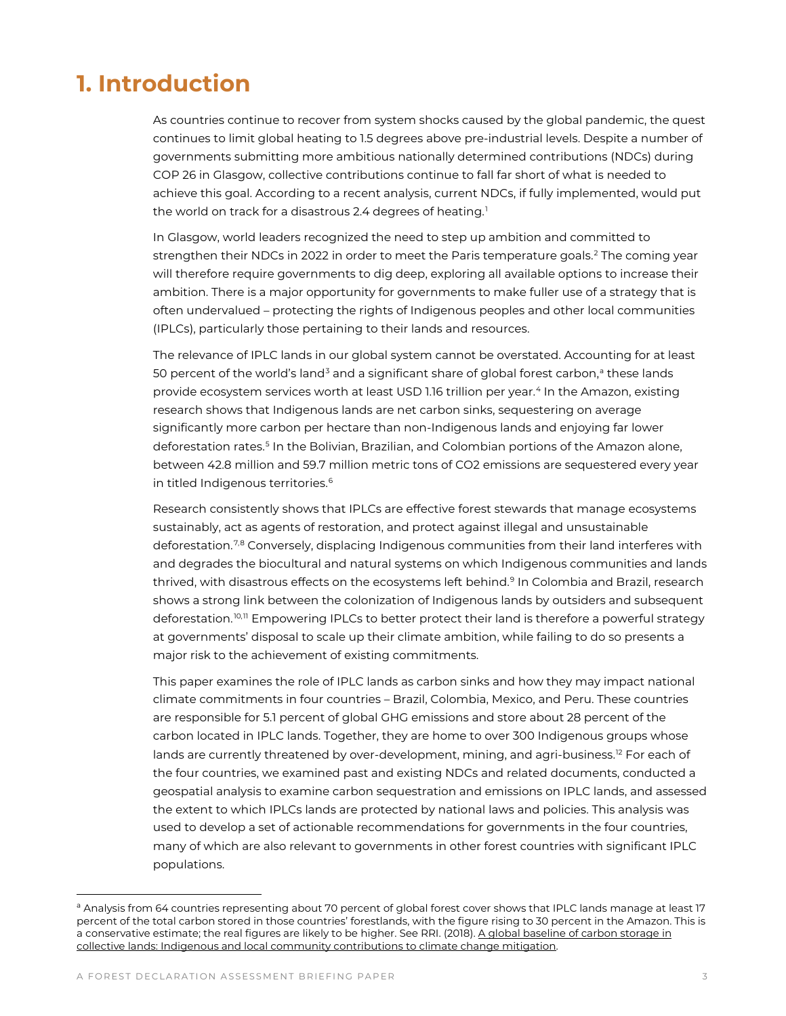## <span id="page-2-0"></span>**1. Introduction**

As countries continue to recover from system shocks caused by the global pandemic, the quest continues to limit global heating to 1.5 degrees above pre-industrial levels. Despite a number of governments submitting more ambitious nationally determined contributions (NDCs) during COP 26 in Glasgow, collective contributions continue to fall far short of what is needed to achieve this goal. According to a recent analysis, current NDCs, if fully implemented, would put the world on track for a disastrous 2.4 degrees of heating.<sup>[1](#page-20-0)</sup>

In Glasgow, world leaders recognized the need to step up ambition and committed to strengthen their NDCs in [2](#page-20-1)022 in order to meet the Paris temperature goals.<sup>2</sup> The coming year will therefore require governments to dig deep, exploring all available options to increase their ambition. There is a major opportunity for governments to make fuller use of a strategy that is often undervalued – protecting the rights of Indigenous peoples and other local communities (IPLCs), particularly those pertaining to their lands and resources.

The relevance of IPLC lands in our global system cannot be overstated. Accounting for at least 50 percent of the world's land<sup>[3](#page-20-2)</sup> [a](#page-2-1)nd a significant share of global forest carbon,<sup>a</sup> these lands provide ecosystem services worth at least USD 1.16 trillion per year.[4](#page-20-3) In the Amazon, existing research shows that Indigenous lands are net carbon sinks, sequestering on average significantly more carbon per hectare than non-Indigenous lands and enjoying far lower deforestation rates.<sup>[5](#page-20-4)</sup> In the Bolivian, Brazilian, and Colombian portions of the Amazon alone, between 42.8 million and 59.7 million metric tons of CO2 emissions are sequestered every year in titled Indigenous territories.<sup>[6](#page-20-5)</sup>

Research consistently shows that IPLCs are effective forest stewards that manage ecosystems sustainably, act as agents of restoration, and protect against illegal and unsustainable deforestation.[7](#page-20-6),[8](#page-20-7) Conversely, displacing Indigenous communities from their land interferes with and degrades the biocultural and natural systems on which Indigenous communities and lands thrived, with disastrous effects on the ecosystems left behind.<sup>[9](#page-20-8)</sup> In Colombia and Brazil, research shows a strong link between the colonization of Indigenous lands by outsiders and subsequent deforestation.<sup>[10,](#page-20-9)[11](#page-20-10)</sup> Empowering IPLCs to better protect their land is therefore a powerful strategy at governments' disposal to scale up their climate ambition, while failing to do so presents a major risk to the achievement of existing commitments.

This paper examines the role of IPLC lands as carbon sinks and how they may impact national climate commitments in four countries – Brazil, Colombia, Mexico, and Peru. These countries are responsible for 5.1 percent of global GHG emissions and store about 28 percent of the carbon located in IPLC lands. Together, they are home to over 300 Indigenous groups whose lands are currently threatened by over-development, mining, and agri-business.<sup>[12](#page-20-11)</sup> For each of the four countries, we examined past and existing NDCs and related documents, conducted a geospatial analysis to examine carbon sequestration and emissions on IPLC lands, and assessed the extent to which IPLCs lands are protected by national laws and policies. This analysis was used to develop a set of actionable recommendations for governments in the four countries, many of which are also relevant to governments in other forest countries with significant IPLC populations.

<span id="page-2-1"></span>a Analysis from 64 countries representing about 70 percent of global forest cover shows that IPLC lands manage at least 17 percent of the total carbon stored in those countries' forestlands, with the figure rising to 30 percent in the Amazon. This is a conservative estimate; the real figures are likely to be higher. See RRI. (2018)[. A global baseline of carbon storage in](https://rightsandresources.org/wp-content/uploads/2018/09/A-Global-Baseline_RRI_Sept-2018.pdf)  [collective lands: Indigenous and local community contributions to climate change mitigation.](https://rightsandresources.org/wp-content/uploads/2018/09/A-Global-Baseline_RRI_Sept-2018.pdf)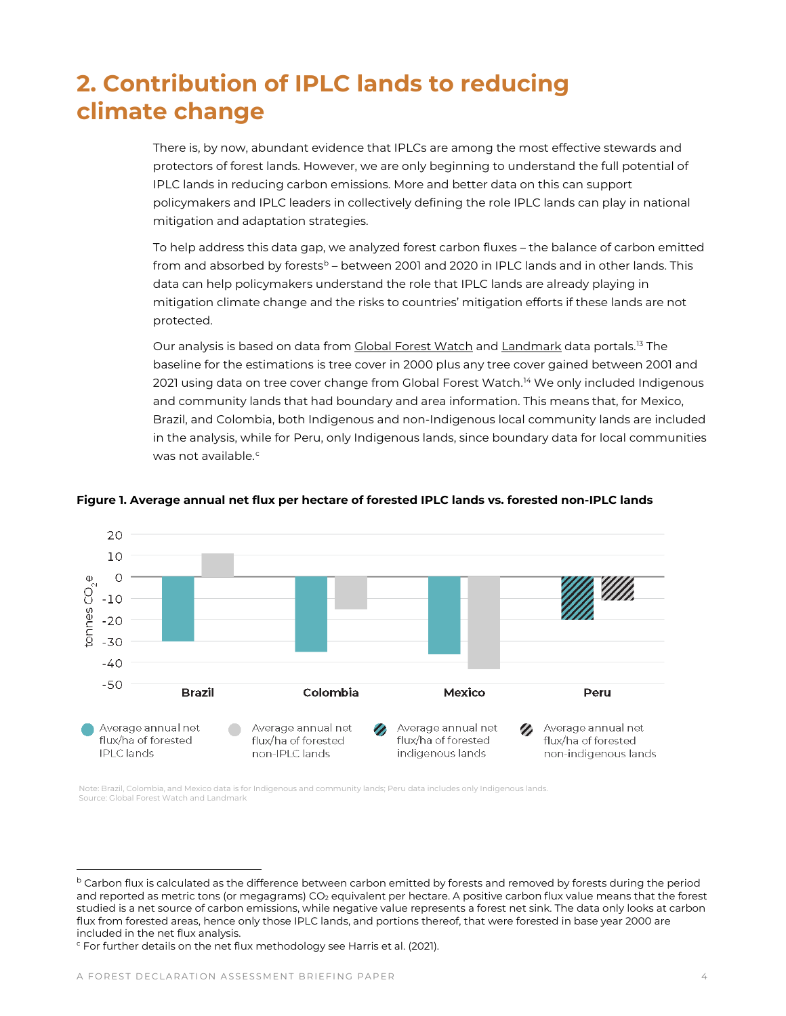# <span id="page-3-0"></span>**2. Contribution of IPLC lands to reducing climate change**

There is, by now, abundant evidence that IPLCs are among the most effective stewards and protectors of forest lands. However, we are only beginning to understand the full potential of IPLC lands in reducing carbon emissions. More and better data on this can support policymakers and IPLC leaders in collectively defining the role IPLC lands can play in national mitigation and adaptation strategies.

To help address this data gap, we analyzed forest carbon fluxes – the balance of carbon emitted from and a[b](#page-3-1)sorbed by forests<sup>b</sup> – between 2001 and 2020 in IPLC lands and in other lands. This data can help policymakers understand the role that IPLC lands are already playing in mitigation climate change and the risks to countries' mitigation efforts if these lands are not protected.

Our analysis is based on data from [Global Forest Watch](https://data.globalforestwatch.org/datasets/gfw::forest-greenhouse-gas-net-flux/about) an[d Landmark](http://www.landmarkmap.org/) data portals.<sup>[13](#page-20-12)</sup> The baseline for the estimations is tree cover in 2000 plus any tree cover gained between 2001 and 2021 using data on tree cover change from Global Forest Watch.<sup>[14](#page-20-13)</sup> We only included Indigenous and community lands that had boundary and area information. This means that, for Mexico, Brazil, and Colombia, both Indigenous and non-Indigenous local community lands are included in the analysis, while for Peru, only Indigenous lands, since boundary data for local communities was not available $c$ 



#### **Figure 1. Average annual net flux per hectare of forested IPLC lands vs. forested non-IPLC lands**

Note: Brazil, Colombia, and Mexico data is for Indigenous and community lands; Peru data includes only Indigenous lands. Source: Global Forest Watch and Landmark

<span id="page-3-1"></span>**b** Carbon flux is calculated as the difference between carbon emitted by forests and removed by forests during the period and reported as metric tons (or megagrams) CO<sub>2</sub> equivalent per hectare. A positive carbon flux value means that the forest studied is a net source of carbon emissions, while negative value represents a forest net sink. The data only looks at carbon flux from forested areas, hence only those IPLC lands, and portions thereof, that were forested in base year 2000 are included in the net flux analysis.

<span id="page-3-2"></span><sup>&</sup>lt;sup>c</sup> For further details on the net flux methodology see Harris et al. (2021).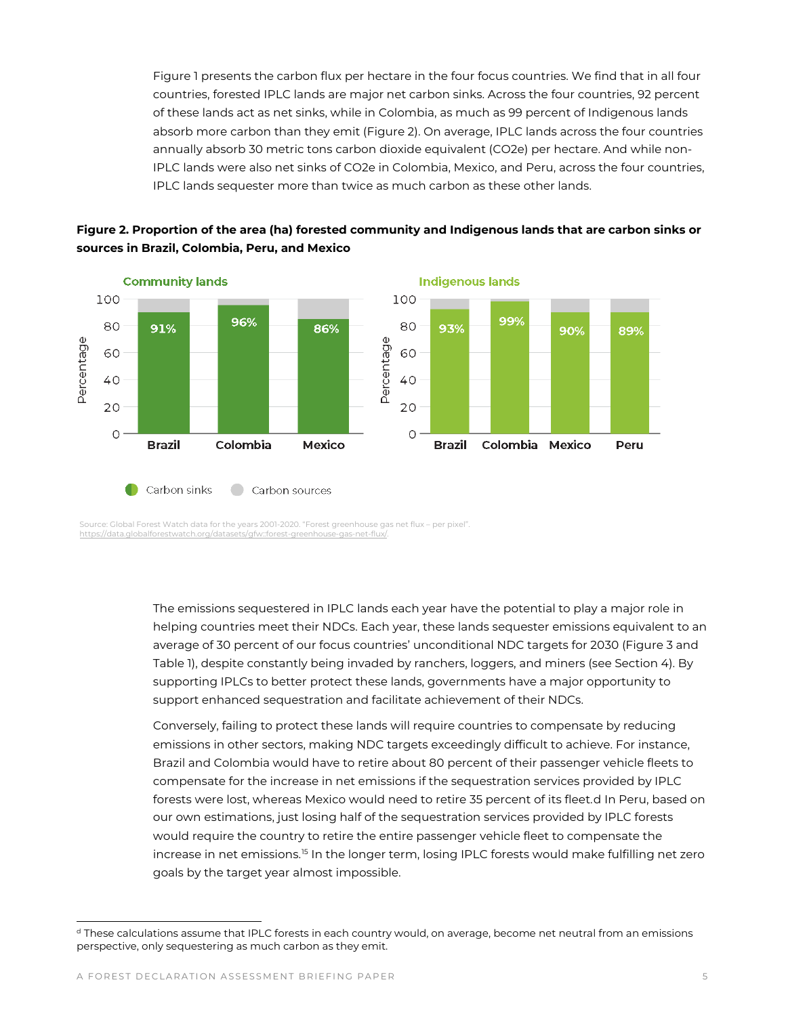Figure 1 presents the carbon flux per hectare in the four focus countries. We find that in all four countries, forested IPLC lands are major net carbon sinks. Across the four countries, 92 percent of these lands act as net sinks, while in Colombia, as much as 99 percent of Indigenous lands absorb more carbon than they emit (Figure 2). On average, IPLC lands across the four countries annually absorb 30 metric tons carbon dioxide equivalent (CO2e) per hectare. And while non-IPLC lands were also net sinks of CO2e in Colombia, Mexico, and Peru, across the four countries, IPLC lands sequester more than twice as much carbon as these other lands.





Source: Global Forest Watch data for the years 2001-2020. "Forest greenhouse gas net flux – per pixel". <https://data.globalforestwatch.org/datasets/gfw::forest-greenhouse-gas-net-flux/.>

> The emissions sequestered in IPLC lands each year have the potential to play a major role in helping countries meet their NDCs. Each year, these lands sequester emissions equivalent to an average of 30 percent of our focus countries' unconditional NDC targets for 2030 (Figure 3 and Table 1), despite constantly being invaded by ranchers, loggers, and miners (see Section 4). By supporting IPLCs to better protect these lands, governments have a major opportunity to support enhanced sequestration and facilitate achievement of their NDCs.

> Conversely, failing to protect these lands will require countries to compensate by reducing emissions in other sectors, making NDC targets exceedingly difficult to achieve. For instance, Brazil and Colombia would have to retire about 80 percent of their passenger vehicle fleets to compensate for the increase in net emissions if the sequestration services provided by IPLC forests were lost, whereas Mexico would need to retire 35 percent of its fleet.[d](#page-4-0) In Peru, based on our own estimations, just losing half of the sequestration services provided by IPLC forests would require the country to retire the entire passenger vehicle fleet to compensate the increase in net emissions.<sup>[15](#page-20-14)</sup> In the longer term, losing IPLC forests would make fulfilling net zero goals by the target year almost impossible.

<span id="page-4-0"></span><sup>&</sup>lt;sup>d</sup> These calculations assume that IPLC forests in each country would, on average, become net neutral from an emissions perspective, only sequestering as much carbon as they emit.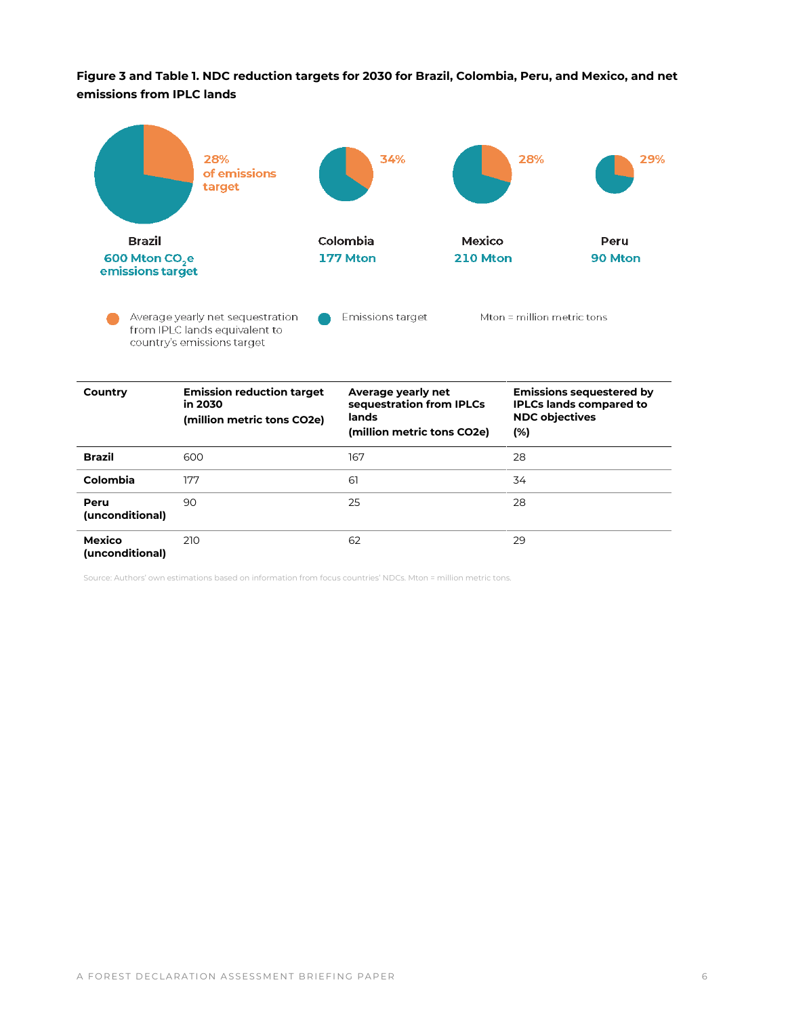**Figure 3 and Table 1. NDC reduction targets for 2030 for Brazil, Colombia, Peru, and Mexico, and net emissions from IPLC lands**



| Colombia                  | 177 | 61 | 34 |
|---------------------------|-----|----|----|
| Peru<br>(unconditional)   | 90  | 25 | 28 |
| Mexico<br>(unconditional) | 210 | 62 | 29 |

Source: Authors' own estimations based on information from focus countries' NDCs. Mton = million metric tons.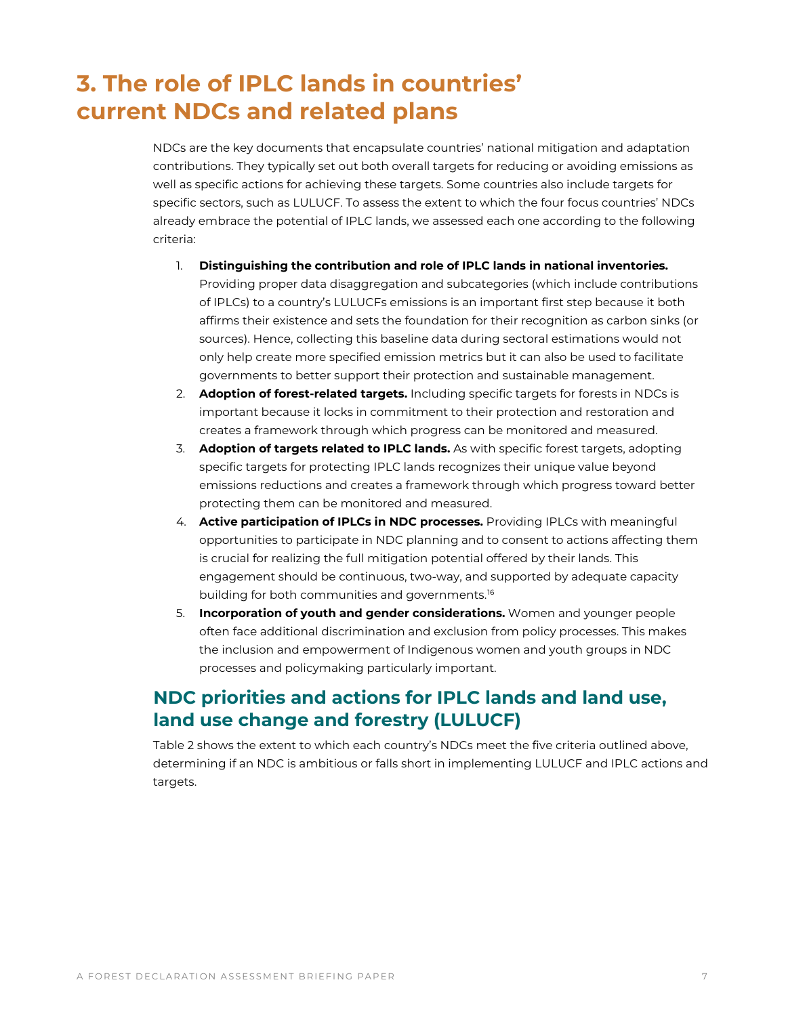# <span id="page-6-0"></span>**3. The role of IPLC lands in countries' current NDCs and related plans**

NDCs are the key documents that encapsulate countries' national mitigation and adaptation contributions. They typically set out both overall targets for reducing or avoiding emissions as well as specific actions for achieving these targets. Some countries also include targets for specific sectors, such as LULUCF. To assess the extent to which the four focus countries' NDCs already embrace the potential of IPLC lands, we assessed each one according to the following criteria:

- 1. **Distinguishing the contribution and role of IPLC lands in national inventories.** Providing proper data disaggregation and subcategories (which include contributions of IPLCs) to a country's LULUCFs emissions is an important first step because it both affirms their existence and sets the foundation for their recognition as carbon sinks (or sources). Hence, collecting this baseline data during sectoral estimations would not only help create more specified emission metrics but it can also be used to facilitate governments to better support their protection and sustainable management.
- 2. **Adoption of forest-related targets.** Including specific targets for forests in NDCs is important because it locks in commitment to their protection and restoration and creates a framework through which progress can be monitored and measured.
- 3. **Adoption of targets related to IPLC lands.** As with specific forest targets, adopting specific targets for protecting IPLC lands recognizes their unique value beyond emissions reductions and creates a framework through which progress toward better protecting them can be monitored and measured.
- 4. **Active participation of IPLCs in NDC processes.** Providing IPLCs with meaningful opportunities to participate in NDC planning and to consent to actions affecting them is crucial for realizing the full mitigation potential offered by their lands. This engagement should be continuous, two-way, and supported by adequate capacity building for both communities and governments.<sup>[16](#page-20-15)</sup>
- 5. **Incorporation of youth and gender considerations.** Women and younger people often face additional discrimination and exclusion from policy processes. This makes the inclusion and empowerment of Indigenous women and youth groups in NDC processes and policymaking particularly important.

## **NDC priorities and actions for IPLC lands and land use, land use change and forestry (LULUCF)**

Table 2 shows the extent to which each country's NDCs meet the five criteria outlined above, determining if an NDC is ambitious or falls short in implementing LULUCF and IPLC actions and targets.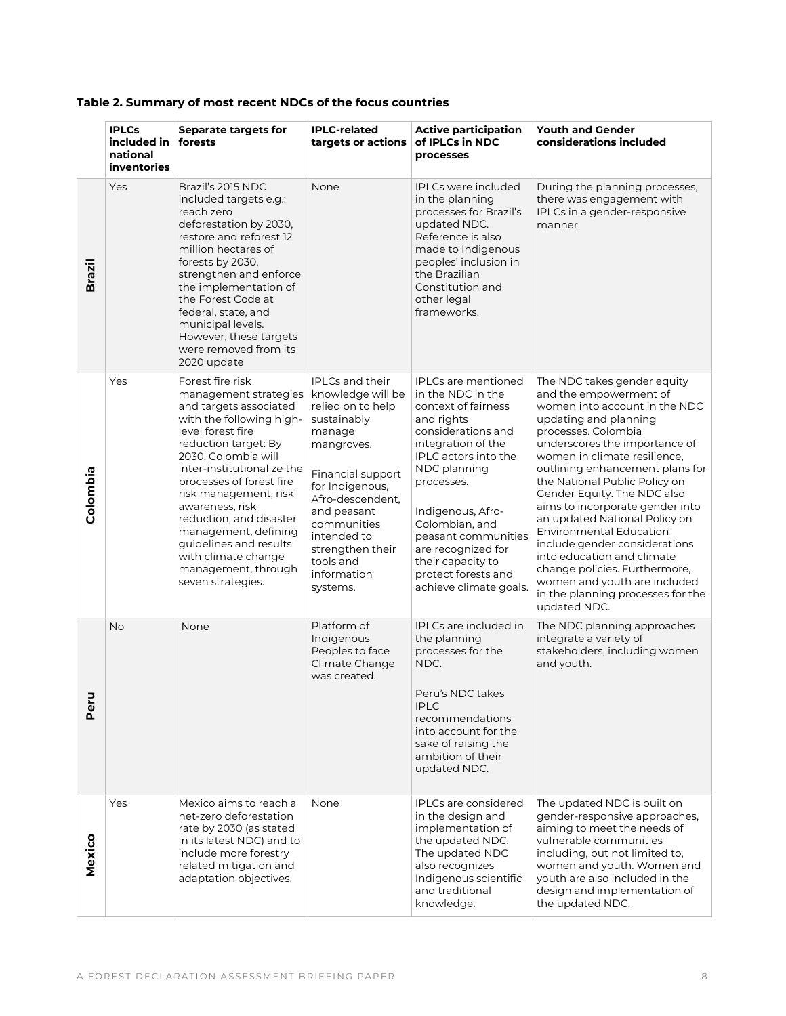|               | <b>IPLCs</b><br>included in<br>national<br>inventories | <b>Separate targets for</b><br>forests                                                                                                                                                                                                                                                                                                                                                                                    | <b>IPLC-related</b><br>targets or actions                                                                                                                                                                                                                             | <b>Active participation</b><br>of IPLCs in NDC<br>processes                                                                                                                                                                                                                                                                                      | <b>Youth and Gender</b><br>considerations included                                                                                                                                                                                                                                                                                                                                                                                                                                                                                                                                                    |
|---------------|--------------------------------------------------------|---------------------------------------------------------------------------------------------------------------------------------------------------------------------------------------------------------------------------------------------------------------------------------------------------------------------------------------------------------------------------------------------------------------------------|-----------------------------------------------------------------------------------------------------------------------------------------------------------------------------------------------------------------------------------------------------------------------|--------------------------------------------------------------------------------------------------------------------------------------------------------------------------------------------------------------------------------------------------------------------------------------------------------------------------------------------------|-------------------------------------------------------------------------------------------------------------------------------------------------------------------------------------------------------------------------------------------------------------------------------------------------------------------------------------------------------------------------------------------------------------------------------------------------------------------------------------------------------------------------------------------------------------------------------------------------------|
| <b>Brazil</b> | Yes                                                    | Brazil's 2015 NDC<br>included targets e.g.:<br>reach zero<br>deforestation by 2030,<br>restore and reforest 12<br>million hectares of<br>forests by 2030.<br>strengthen and enforce<br>the implementation of<br>the Forest Code at<br>federal, state, and<br>municipal levels.<br>However, these targets<br>were removed from its<br>2020 update                                                                          | None                                                                                                                                                                                                                                                                  | <b>IPLCs were included</b><br>in the planning<br>processes for Brazil's<br>updated NDC.<br>Reference is also<br>made to Indigenous<br>peoples' inclusion in<br>the Brazilian<br>Constitution and<br>other legal<br>frameworks.                                                                                                                   | During the planning processes,<br>there was engagement with<br>IPLCs in a gender-responsive<br>manner.                                                                                                                                                                                                                                                                                                                                                                                                                                                                                                |
| Colombia      | Yes                                                    | Forest fire risk<br>management strategies<br>and targets associated<br>with the following high-<br>level forest fire<br>reduction target: By<br>2030, Colombia will<br>inter-institutionalize the<br>processes of forest fire<br>risk management, risk<br>awareness, risk<br>reduction, and disaster<br>management, defining<br>guidelines and results<br>with climate change<br>management, through<br>seven strategies. | IPLCs and their<br>knowledge will be<br>relied on to help<br>sustainably<br>manage<br>mangroves.<br>Financial support<br>for Indigenous,<br>Afro-descendent,<br>and peasant<br>communities<br>intended to<br>strengthen their<br>tools and<br>information<br>systems. | <b>IPLCs are mentioned</b><br>in the NDC in the<br>context of fairness<br>and rights<br>considerations and<br>integration of the<br>IPLC actors into the<br>NDC planning<br>processes.<br>Indigenous, Afro-<br>Colombian, and<br>peasant communities<br>are recognized for<br>their capacity to<br>protect forests and<br>achieve climate goals. | The NDC takes gender equity<br>and the empowerment of<br>women into account in the NDC<br>updating and planning<br>processes. Colombia<br>underscores the importance of<br>women in climate resilience,<br>outlining enhancement plans for<br>the National Public Policy on<br>Gender Equity. The NDC also<br>aims to incorporate gender into<br>an updated National Policy on<br><b>Environmental Education</b><br>include gender considerations<br>into education and climate<br>change policies. Furthermore,<br>women and youth are included<br>in the planning processes for the<br>updated NDC. |
| Peru          | <b>No</b>                                              | None                                                                                                                                                                                                                                                                                                                                                                                                                      | Platform of<br>Indigenous<br>Peoples to face<br>Climate Change<br>was created.                                                                                                                                                                                        | <b>IPLCs are included in</b><br>the planning<br>processes for the<br>NDC.<br>Peru's NDC takes<br><b>IPLC</b><br>recommendations<br>into account for the<br>sake of raising the<br>ambition of their<br>updated NDC.                                                                                                                              | The NDC planning approaches<br>integrate a variety of<br>stakeholders, including women<br>and youth.                                                                                                                                                                                                                                                                                                                                                                                                                                                                                                  |
| Mexico        | Yes                                                    | Mexico aims to reach a<br>net-zero deforestation<br>rate by 2030 (as stated<br>in its latest NDC) and to<br>include more forestry<br>related mitigation and<br>adaptation objectives.                                                                                                                                                                                                                                     | None                                                                                                                                                                                                                                                                  | <b>IPLCs are considered</b><br>in the design and<br>implementation of<br>the updated NDC.<br>The updated NDC<br>also recognizes<br>Indigenous scientific<br>and traditional<br>knowledge.                                                                                                                                                        | The updated NDC is built on<br>gender-responsive approaches,<br>aiming to meet the needs of<br>vulnerable communities<br>including, but not limited to,<br>women and youth. Women and<br>youth are also included in the<br>design and implementation of<br>the updated NDC.                                                                                                                                                                                                                                                                                                                           |

### **Table 2. Summary of most recent NDCs of the focus countries**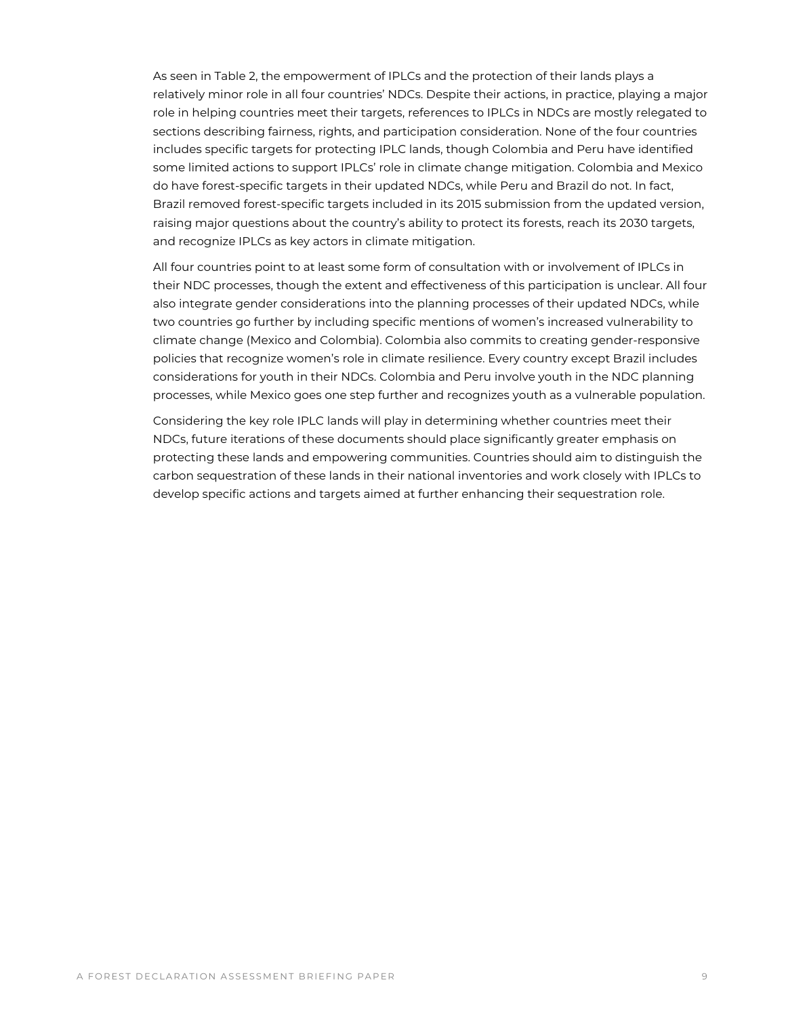As seen in Table 2, the empowerment of IPLCs and the protection of their lands plays a relatively minor role in all four countries' NDCs. Despite their actions, in practice, playing a major role in helping countries meet their targets, references to IPLCs in NDCs are mostly relegated to sections describing fairness, rights, and participation consideration. None of the four countries includes specific targets for protecting IPLC lands, though Colombia and Peru have identified some limited actions to support IPLCs' role in climate change mitigation. Colombia and Mexico do have forest-specific targets in their updated NDCs, while Peru and Brazil do not. In fact, Brazil removed forest-specific targets included in its 2015 submission from the updated version, raising major questions about the country's ability to protect its forests, reach its 2030 targets, and recognize IPLCs as key actors in climate mitigation.

All four countries point to at least some form of consultation with or involvement of IPLCs in their NDC processes, though the extent and effectiveness of this participation is unclear. All four also integrate gender considerations into the planning processes of their updated NDCs, while two countries go further by including specific mentions of women's increased vulnerability to climate change (Mexico and Colombia). Colombia also commits to creating gender-responsive policies that recognize women's role in climate resilience. Every country except Brazil includes considerations for youth in their NDCs. Colombia and Peru involve youth in the NDC planning processes, while Mexico goes one step further and recognizes youth as a vulnerable population.

Considering the key role IPLC lands will play in determining whether countries meet their NDCs, future iterations of these documents should place significantly greater emphasis on protecting these lands and empowering communities. Countries should aim to distinguish the carbon sequestration of these lands in their national inventories and work closely with IPLCs to develop specific actions and targets aimed at further enhancing their sequestration role.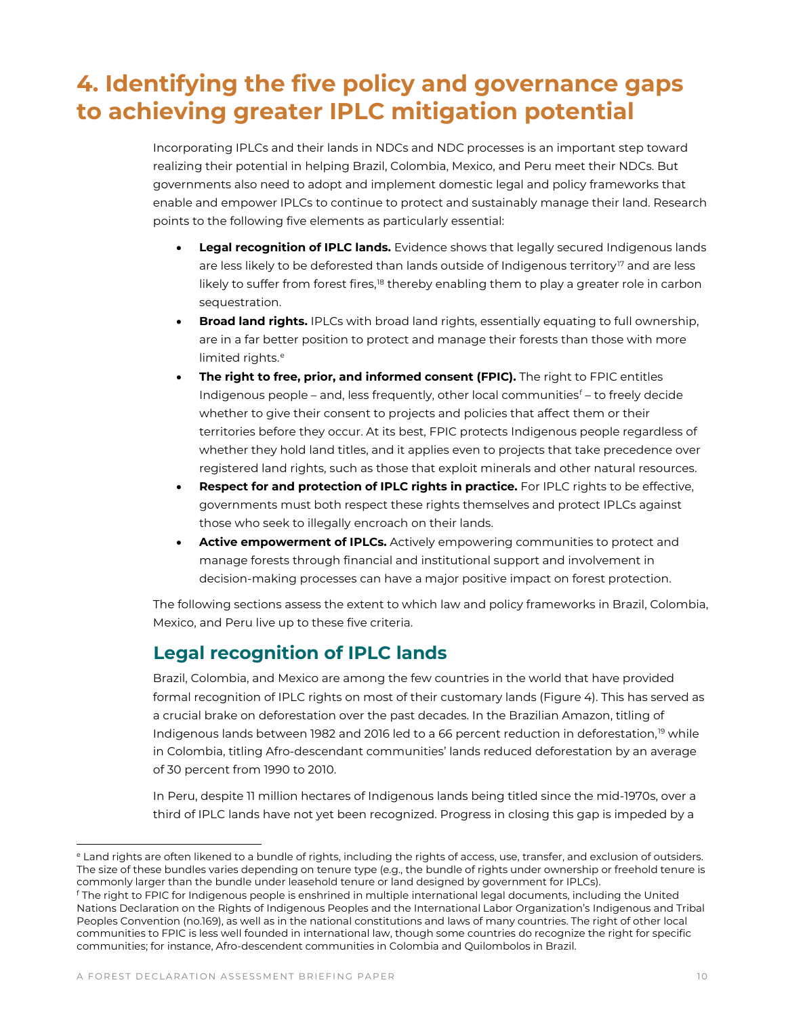# <span id="page-9-0"></span>**4. Identifying the five policy and governance gaps to achieving greater IPLC mitigation potential**

Incorporating IPLCs and their lands in NDCs and NDC processes is an important step toward realizing their potential in helping Brazil, Colombia, Mexico, and Peru meet their NDCs. But governments also need to adopt and implement domestic legal and policy frameworks that enable and empower IPLCs to continue to protect and sustainably manage their land. Research points to the following five elements as particularly essential:

- **Legal recognition of IPLC lands.** Evidence shows that legally secured Indigenous lands are less likely to be deforested than lands outside of Indigenous territory<sup>[17](#page-20-16)</sup> and are less likely to suffer from forest fires,<sup>[18](#page-20-17)</sup> thereby enabling them to play a greater role in carbon sequestration.
- **Broad land rights.** IPLCs with broad land rights, essentially equating to full ownership, are in a far better position to protect and manage their forests than those with more limit[e](#page-9-1)d rights.<sup>e</sup>
- **The right to free, prior, and informed consent (FPIC).** The right to FPIC entitles Indigenous people – and, less [f](#page-9-2)requently, other local communities<sup>f</sup> – to freely decide whether to give their consent to projects and policies that affect them or their territories before they occur. At its best, FPIC protects Indigenous people regardless of whether they hold land titles, and it applies even to projects that take precedence over registered land rights, such as those that exploit minerals and other natural resources.
- **Respect for and protection of IPLC rights in practice.** For IPLC rights to be effective, governments must both respect these rights themselves and protect IPLCs against those who seek to illegally encroach on their lands.
- **Active empowerment of IPLCs.** Actively empowering communities to protect and manage forests through financial and institutional support and involvement in decision-making processes can have a major positive impact on forest protection.

The following sections assess the extent to which law and policy frameworks in Brazil, Colombia, Mexico, and Peru live up to these five criteria.

## **Legal recognition of IPLC lands**

Brazil, Colombia, and Mexico are among the few countries in the world that have provided formal recognition of IPLC rights on most of their customary lands (Figure 4). This has served as a crucial brake on deforestation over the past decades. In the Brazilian Amazon, titling of Indigenous lands between [19](#page-20-18)82 and 2016 led to a 66 percent reduction in deforestation,<sup>19</sup> while in Colombia, titling Afro-descendant communities' lands reduced deforestation by an average of 30 percent from 1990 to 2010.

In Peru, despite 11 million hectares of Indigenous lands being titled since the mid-1970s, over a third of IPLC lands have not yet been recognized. Progress in closing this gap is impeded by a

<span id="page-9-1"></span><sup>e</sup> Land rights are often likened to a bundle of rights, including the rights of access, use, transfer, and exclusion of outsiders. The size of these bundles varies depending on tenure type (e.g., the bundle of rights under ownership or freehold tenure is commonly larger than the bundle under leasehold tenure or land designed by government for IPLCs).

<span id="page-9-2"></span><sup>&</sup>lt;sup>f</sup> The right to FPIC for Indigenous people is enshrined in multiple international legal documents, including the United Nations Declaration on the Rights of Indigenous Peoples and the International Labor Organization's Indigenous and Tribal Peoples Convention (no.169), as well as in the national constitutions and laws of many countries. The right of other local communities to FPIC is less well founded in international law, though some countries do recognize the right for specific communities; for instance, Afro-descendent communities in Colombia and Quilombolos in Brazil.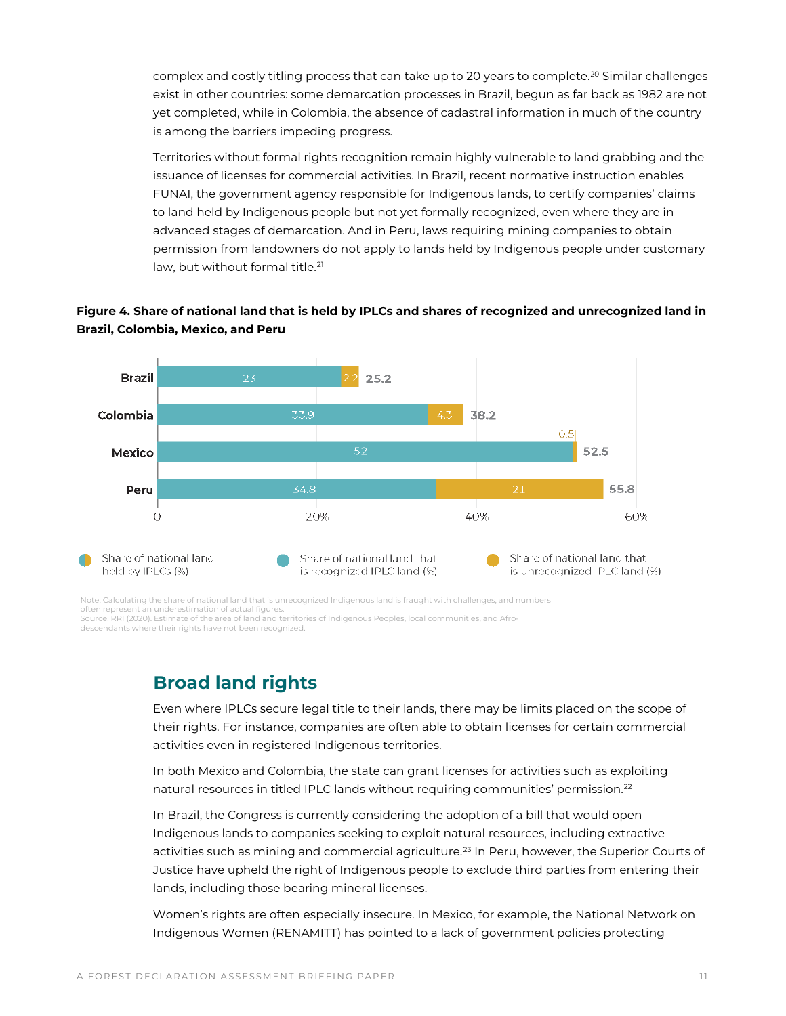complex and costly titling process that can take up to [20](#page-20-19) years to complete.<sup>20</sup> Similar challenges exist in other countries: some demarcation processes in Brazil, begun as far back as 1982 are not yet completed, while in Colombia, the absence of cadastral information in much of the country is among the barriers impeding progress.

Territories without formal rights recognition remain highly vulnerable to land grabbing and the issuance of licenses for commercial activities. In Brazil, recent normative instruction enables FUNAI, the government agency responsible for Indigenous lands, to certify companies' claims to land held by Indigenous people but not yet formally recognized, even where they are in advanced stages of demarcation. And in Peru, laws requiring mining companies to obtain permission from landowners do not apply to lands held by Indigenous people under customary law, but without formal title.<sup>[21](#page-20-20)</sup>



#### **Figure 4. Share of national land that is held by IPLCs and shares of recognized and unrecognized land in Brazil, Colombia, Mexico, and Peru**

Note: Calculating the share of national land that is unrecognized Indigenous land is fraught with challenges, and numbers often represent an underestimation of actual figure

Source. RRI (2020). Estimate of the area of land and territories of Indigenous Peoples, local communities, and Afrodescendants where their rights have not been recognized.

## **Broad land rights**

Even where IPLCs secure legal title to their lands, there may be limits placed on the scope of their rights. For instance, companies are often able to obtain licenses for certain commercial activities even in registered Indigenous territories.

In both Mexico and Colombia, the state can grant licenses for activities such as exploiting natural resources in titled IPLC lands without requiring communities' permission.[22](#page-20-21)

In Brazil, the Congress is currently considering the adoption of a bill that would open Indigenous lands to companies seeking to exploit natural resources, including extractive activities such as mining and commercial agriculture.<sup>[23](#page-20-22)</sup> In Peru, however, the Superior Courts of Justice have upheld the right of Indigenous people to exclude third parties from entering their lands, including those bearing mineral licenses.

Women's rights are often especially insecure. In Mexico, for example, the National Network on Indigenous Women (RENAMITT) has pointed to a lack of government policies protecting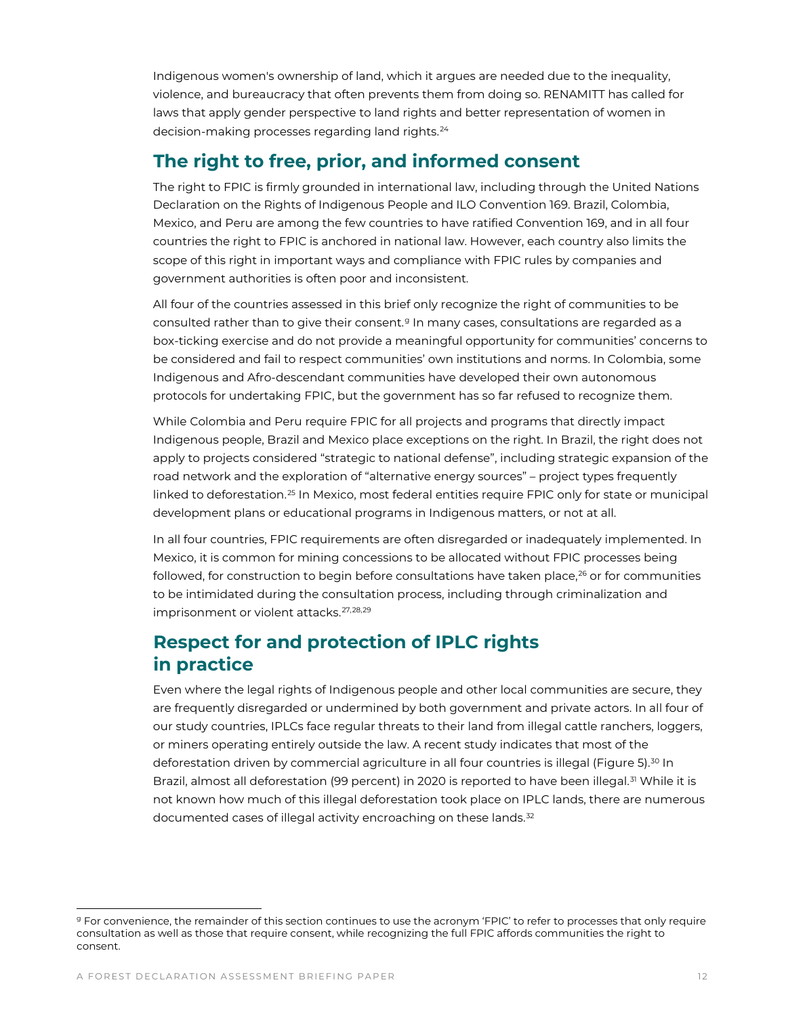Indigenous women's ownership of land, which it argues are needed due to the inequality, violence, and bureaucracy that often prevents them from doing so. RENAMITT has called for laws that apply gender perspective to land rights and better representation of women in decision-making processes regarding land rights.[24](#page-21-0)

### **The right to free, prior, and informed consent**

The right to FPIC is firmly grounded in international law, including through the United Nations Declaration on the Rights of Indigenous People and ILO Convention 169. Brazil, Colombia, Mexico, and Peru are among the few countries to have ratified Convention 169, and in all four countries the right to FPIC is anchored in national law. However, each country also limits the scope of this right in important ways and compliance with FPIC rules by companies and government authorities is often poor and inconsistent.

All four of the countries assessed in this brief only recognize the right of communities to be consulted rather than to [g](#page-11-0)ive their consent.<sup>9</sup> In many cases, consultations are regarded as a box-ticking exercise and do not provide a meaningful opportunity for communities' concerns to be considered and fail to respect communities' own institutions and norms. In Colombia, some Indigenous and Afro-descendant communities have developed their own autonomous protocols for undertaking FPIC, but the government has so far refused to recognize them.

While Colombia and Peru require FPIC for all projects and programs that directly impact Indigenous people, Brazil and Mexico place exceptions on the right. In Brazil, the right does not apply to projects considered "strategic to national defense", including strategic expansion of the road network and the exploration of "alternative energy sources" – project types frequently linked to deforestation.<sup>[25](#page-21-1)</sup> In Mexico, most federal entities require FPIC only for state or municipal development plans or educational programs in Indigenous matters, or not at all.

In all four countries, FPIC requirements are often disregarded or inadequately implemented. In Mexico, it is common for mining concessions to be allocated without FPIC processes being followed, for construction to begin before consultations have taken place, $^{26}$  $^{26}$  $^{26}$  or for communities to be intimidated during the consultation process, including through criminalization and imprisonment or violent attacks.<sup>[27,](#page-21-3)[28](#page-21-4),[29](#page-21-5)</sup>

## **Respect for and protection of IPLC rights in practice**

Even where the legal rights of Indigenous people and other local communities are secure, they are frequently disregarded or undermined by both government and private actors. In all four of our study countries, IPLCs face regular threats to their land from illegal cattle ranchers, loggers, or miners operating entirely outside the law. A recent study indicates that most of the deforestation driven by commercial agriculture in all four countries is illegal (Figure 5).<sup>[30](#page-21-6)</sup> In Brazil, almost all deforestation (99 percent) in 2020 is reported to have been illegal.<sup>[31](#page-21-7)</sup> While it is not known how much of this illegal deforestation took place on IPLC lands, there are numerous documented cases of illegal activity encroaching on these lands.<sup>[32](#page-21-8)</sup>

<span id="page-11-0"></span><sup>&</sup>lt;sup>g</sup> For convenience, the remainder of this section continues to use the acronym 'FPIC' to refer to processes that only require consultation as well as those that require consent, while recognizing the full FPIC affords communities the right to consent.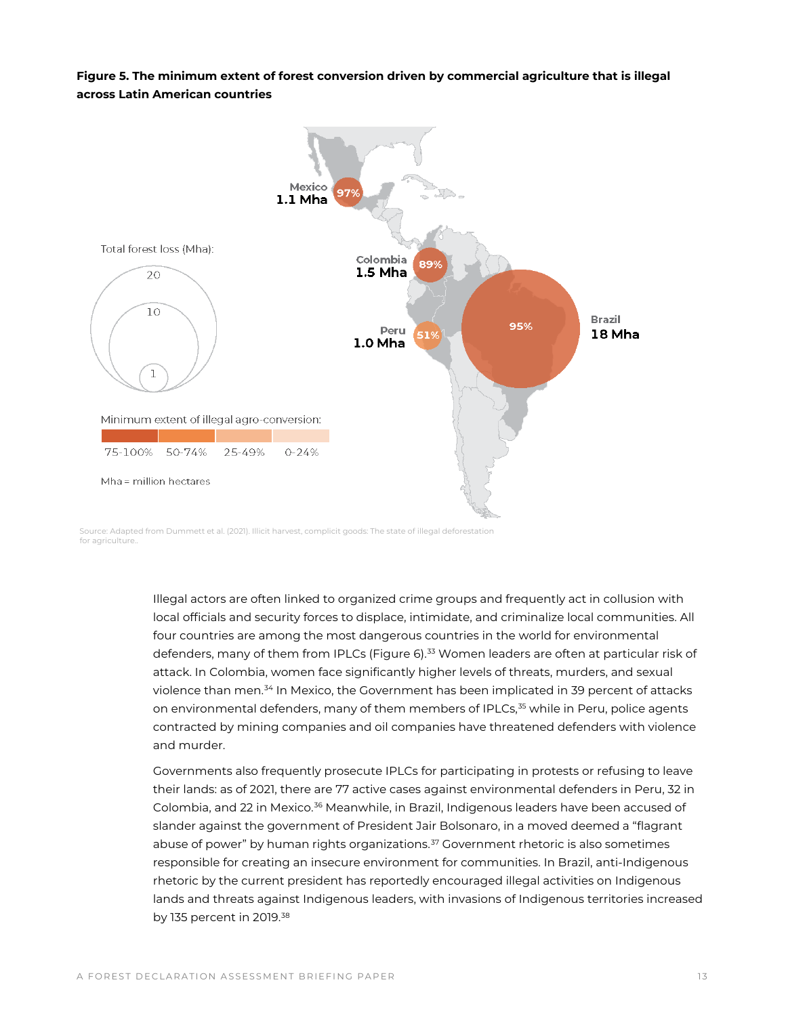**Figure 5. The minimum extent of forest conversion driven by commercial agriculture that is illegal across Latin American countries**



Source: Adapted from Dummett et al. (2021). Illicit harvest, complicit goods: The state of illegal deforestation for agriculture.

> Illegal actors are often linked to organized crime groups and frequently act in collusion with local officials and security forces to displace, intimidate, and criminalize local communities. All four countries are among the most dangerous countries in the world for environmental defenders, many of them from IPLCs (Figure 6).<sup>[33](#page-21-9)</sup> Women leaders are often at particular risk of attack. In Colombia, women face significantly higher levels of threats, murders, and sexual violence than men.<sup>[34](#page-21-10)</sup> In Mexico, the Government has been implicated in 39 percent of attacks on environmental defenders, many of them members of IPLCs, $35$  while in Peru, police agents contracted by mining companies and oil companies have threatened defenders with violence and murder.

> Governments also frequently prosecute IPLCs for participating in protests or refusing to leave their lands: as of 2021, there are 77 active cases against environmental defenders in Peru, 32 in Colombia, and 22 in Mexico.<sup>[36](#page-21-12)</sup> Meanwhile, in Brazil, Indigenous leaders have been accused of slander against the government of President Jair Bolsonaro, in a moved deemed a "flagrant abuse of power" by human rights organizations. $37$  Government rhetoric is also sometimes responsible for creating an insecure environment for communities. In Brazil, anti-Indigenous rhetoric by the current president has reportedly encouraged illegal activities on Indigenous lands and threats against Indigenous leaders, with invasions of Indigenous territories increased by 135 percent in 2019.<sup>[38](#page-21-14)</sup>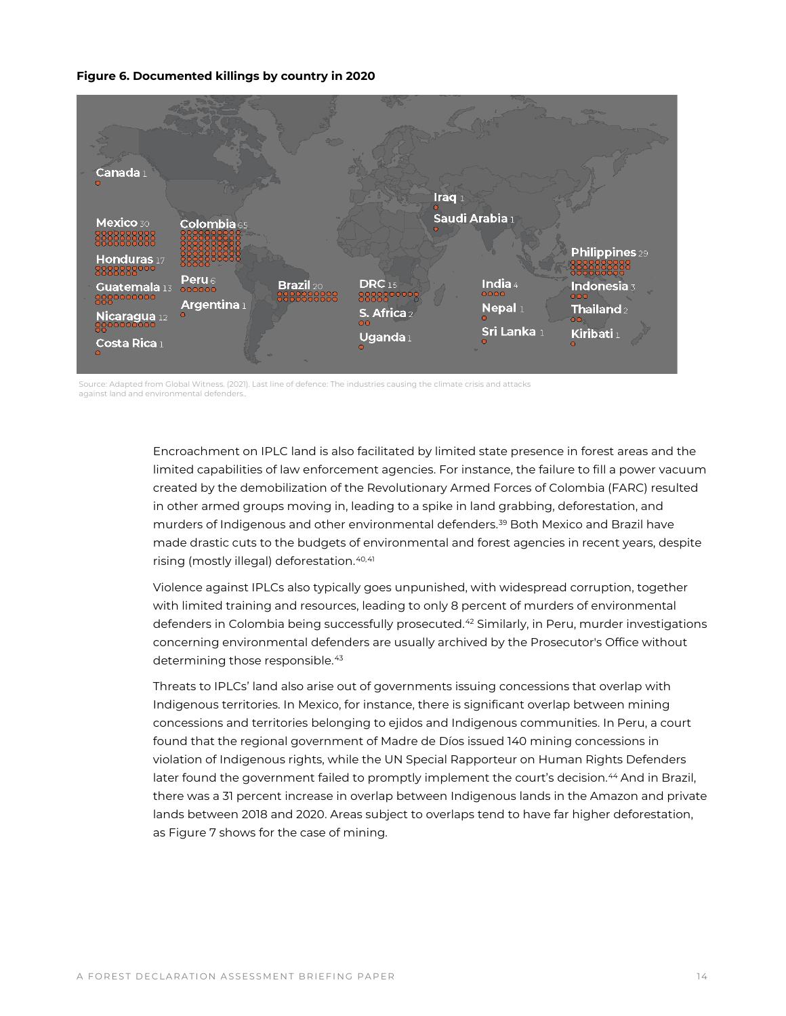#### **Figure 6. Documented killings by country in 2020**



Source: Adapted from Global Witness. (2021). Last line of defence: The industries causing the climate crisis and attacks against land and environmental defenders..

> Encroachment on IPLC land is also facilitated by limited state presence in forest areas and the limited capabilities of law enforcement agencies. For instance, the failure to fill a power vacuum created by the demobilization of the Revolutionary Armed Forces of Colombia (FARC) resulted in other armed groups moving in, leading to a spike in land grabbing, deforestation, and murders of Indigenous and other environmental defenders.[39](#page-21-15) Both Mexico and Brazil have made drastic cuts to the budgets of environmental and forest agencies in recent years, despite rising (mostly illegal) deforestation.<sup>[40,](#page-21-16)[41](#page-21-17)</sup>

> Violence against IPLCs also typically goes unpunished, with widespread corruption, together with limited training and resources, leading to only 8 percent of murders of environmental defenders in Colombia being successfully prosecuted.<sup>[42](#page-21-18)</sup> Similarly, in Peru, murder investigations concerning environmental defenders are usually archived by the Prosecutor's Office without determining those responsible.<sup>[43](#page-21-19)</sup>

> Threats to IPLCs' land also arise out of governments issuing concessions that overlap with Indigenous territories. In Mexico, for instance, there is significant overlap between mining concessions and territories belonging to ejidos and Indigenous communities. In Peru, a court found that the regional government of Madre de Díos issued 140 mining concessions in violation of Indigenous rights, while the UN Special Rapporteur on Human Rights Defenders later found the government failed to promptly implement the court's decision.<sup>[44](#page-21-20)</sup> And in Brazil, there was a 31 percent increase in overlap between Indigenous lands in the Amazon and private lands between 2018 and 2020. Areas subject to overlaps tend to have far higher deforestation, as Figure 7 shows for the case of mining.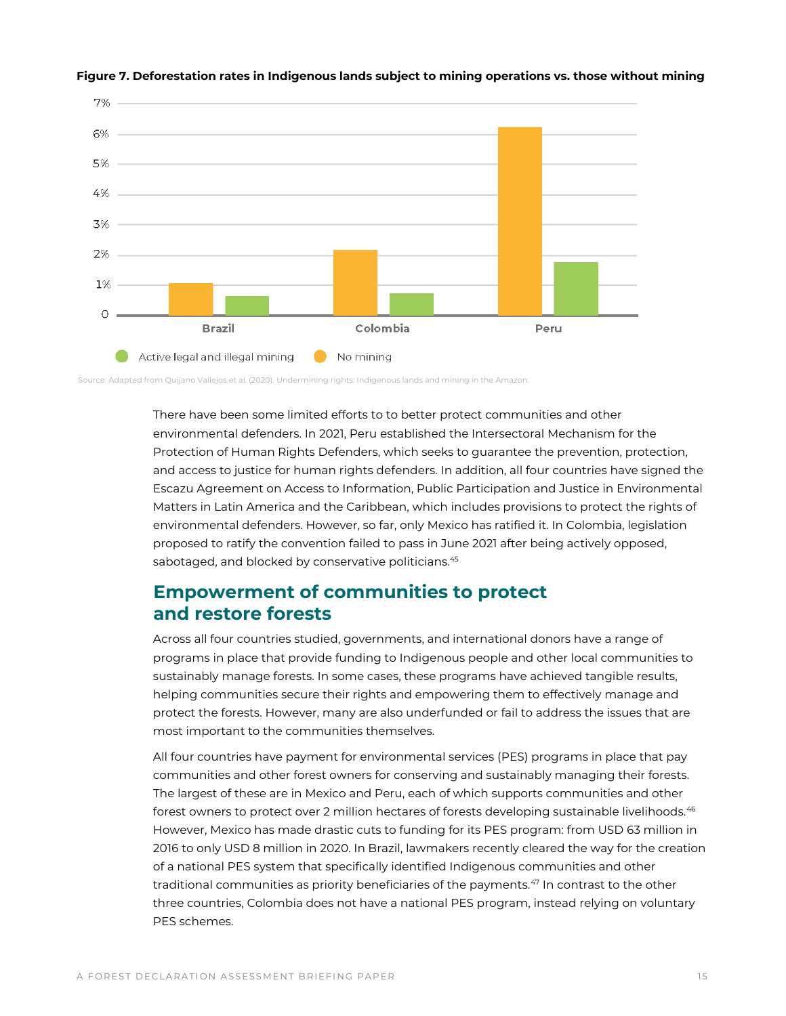

#### **Figure 7. Deforestation rates in Indigenous lands subject to mining operations vs. those without mining**

Source: Adapted from Quijano Vallejos et al. (2020). Undermining rights: Indigenous lands and mining in the Amazon.

There have been some limited efforts to to better protect communities and other environmental defenders. In 2021, Peru established the Intersectoral Mechanism for the Protection of Human Rights Defenders, which seeks to guarantee the prevention, protection, and access to justice for human rights defenders. In addition, all four countries have signed the Escazu Agreement on Access to Information, Public Participation and Justice in Environmental Matters in Latin America and the Caribbean, which includes provisions to protect the rights of environmental defenders. However, so far, only Mexico has ratified it. In Colombia, legislation proposed to ratify the convention failed to pass in June 2021 after being actively opposed, sabotaged, and blocked by conservative politicians.<sup>[45](#page-21-21)</sup>

### **Empowerment of communities to protect and restore forests**

Across all four countries studied, governments, and international donors have a range of programs in place that provide funding to Indigenous people and other local communities to sustainably manage forests. In some cases, these programs have achieved tangible results, helping communities secure their rights and empowering them to effectively manage and protect the forests. However, many are also underfunded or fail to address the issues that are most important to the communities themselves.

All four countries have payment for environmental services (PES) programs in place that pay communities and other forest owners for conserving and sustainably managing their forests. The largest of these are in Mexico and Peru, each of which supports communities and other forest owners to protect over 2 million hectares of forests developing sustainable livelihoods.<sup>[46](#page-21-22)</sup> However, Mexico has made drastic cuts to funding for its PES program: from USD 63 million in 2016 to only USD 8 million in 2020. In Brazil, lawmakers recently cleared the way for the creation of a national PES system that specifically identified Indigenous communities and other traditional communities as priority beneficiaries of the payments.<sup>[47](#page-21-23)</sup> In contrast to the other three countries, Colombia does not have a national PES program, instead relying on voluntary PES schemes.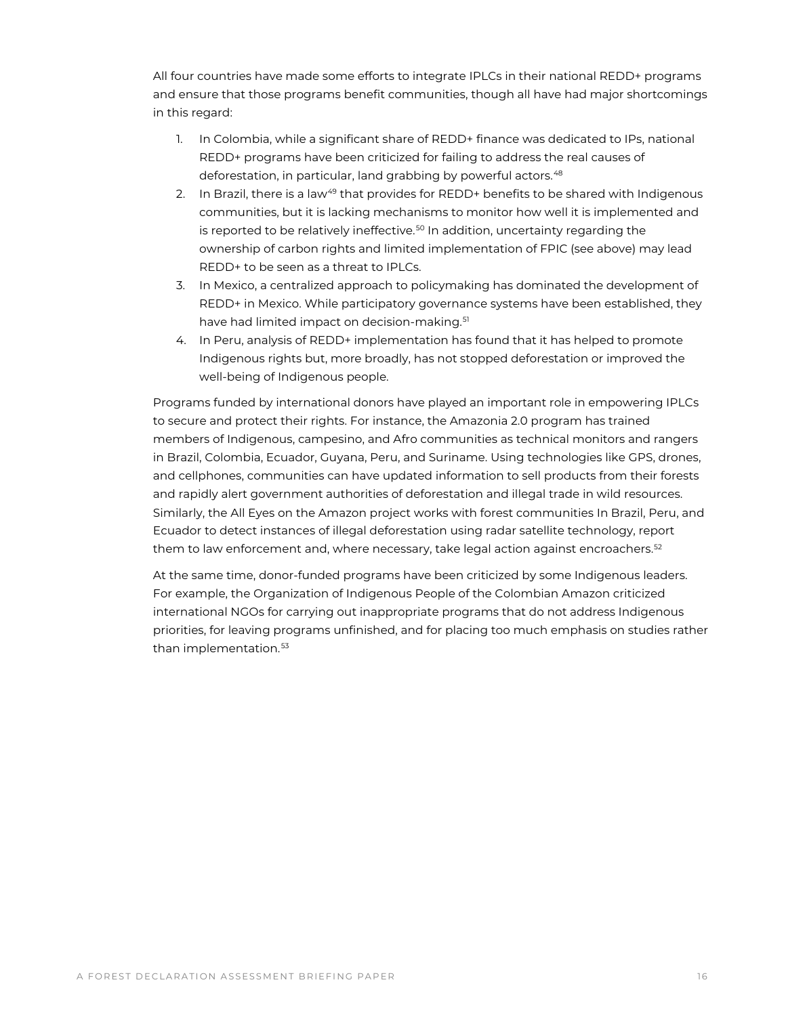All four countries have made some efforts to integrate IPLCs in their national REDD+ programs and ensure that those programs benefit communities, though all have had major shortcomings in this regard:

- 1. In Colombia, while a significant share of REDD+ finance was dedicated to IPs, national REDD+ programs have been criticized for failing to address the real causes of deforestation, in particular, land grabbing by powerful actors.<sup>[48](#page-21-0)</sup>
- 2. In Brazil, there is a law<sup>49</sup> that provides for REDD+ benefits to be shared with Indigenous communities, but it is lacking mechanisms to monitor how well it is implemented and is reported to be relatively ineffective. $50 \text{ In addition, uncertainty regarding the}$  $50 \text{ In addition, uncertainty regarding the}$ ownership of carbon rights and limited implementation of FPIC (see above) may lead REDD+ to be seen as a threat to IPLCs.
- 3. In Mexico, a centralized approach to policymaking has dominated the development of REDD+ in Mexico. While participatory governance systems have been established, they have had limited impact on decision-making.<sup>[51](#page-21-26)</sup>
- 4. In Peru, analysis of REDD+ implementation has found that it has helped to promote Indigenous rights but, more broadly, has not stopped deforestation or improved the well-being of Indigenous people.

Programs funded by international donors have played an important role in empowering IPLCs to secure and protect their rights. For instance, the Amazonia 2.0 program has trained members of Indigenous, campesino, and Afro communities as technical monitors and rangers in Brazil, Colombia, Ecuador, Guyana, Peru, and Suriname. Using technologies like GPS, drones, and cellphones, communities can have updated information to sell products from their forests and rapidly alert government authorities of deforestation and illegal trade in wild resources. Similarly, the All Eyes on the Amazon project works with forest communities In Brazil, Peru, and Ecuador to detect instances of illegal deforestation using radar satellite technology, report them to law enforcement and, where necessary, take legal action against encroachers.<sup>[52](#page-21-27)</sup>

At the same time, donor-funded programs have been criticized by some Indigenous leaders. For example, the Organization of Indigenous People of the Colombian Amazon criticized international NGOs for carrying out inappropriate programs that do not address Indigenous priorities, for leaving programs unfinished, and for placing too much emphasis on studies rather than implementation.<sup>[53](#page-21-28)</sup>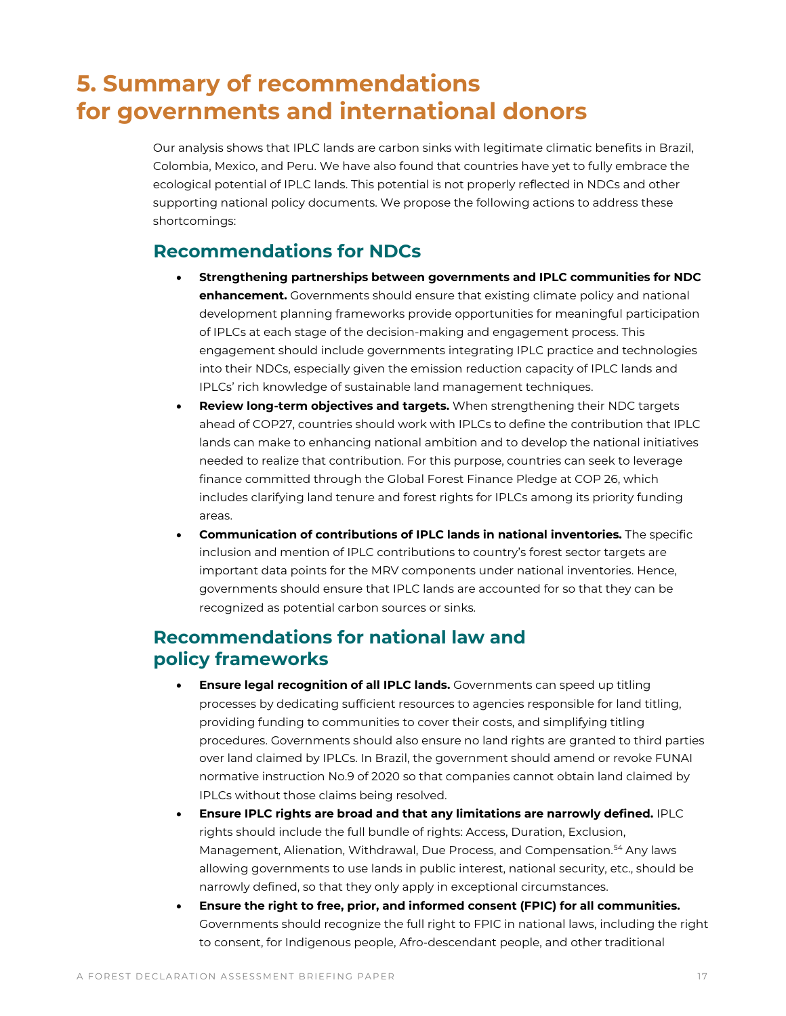# <span id="page-16-0"></span>**5. Summary of recommendations for governments and international donors**

Our analysis shows that IPLC lands are carbon sinks with legitimate climatic benefits in Brazil, Colombia, Mexico, and Peru. We have also found that countries have yet to fully embrace the ecological potential of IPLC lands. This potential is not properly reflected in NDCs and other supporting national policy documents. We propose the following actions to address these shortcomings:

### **Recommendations for NDCs**

- **Strengthening partnerships between governments and IPLC communities for NDC enhancement.** Governments should ensure that existing climate policy and national development planning frameworks provide opportunities for meaningful participation of IPLCs at each stage of the decision-making and engagement process. This engagement should include governments integrating IPLC practice and technologies into their NDCs, especially given the emission reduction capacity of IPLC lands and IPLCs' rich knowledge of sustainable land management techniques.
- **Review long-term objectives and targets.** When strengthening their NDC targets ahead of COP27, countries should work with IPLCs to define the contribution that IPLC lands can make to enhancing national ambition and to develop the national initiatives needed to realize that contribution. For this purpose, countries can seek to leverage finance committed through the Global Forest Finance Pledge at COP 26, which includes clarifying land tenure and forest rights for IPLCs among its priority funding areas.
- **Communication of contributions of IPLC lands in national inventories.** The specific inclusion and mention of IPLC contributions to country's forest sector targets are important data points for the MRV components under national inventories. Hence, governments should ensure that IPLC lands are accounted for so that they can be recognized as potential carbon sources or sinks.

## **Recommendations for national law and policy frameworks**

- **Ensure legal recognition of all IPLC lands.** Governments can speed up titling processes by dedicating sufficient resources to agencies responsible for land titling, providing funding to communities to cover their costs, and simplifying titling procedures. Governments should also ensure no land rights are granted to third parties over land claimed by IPLCs. In Brazil, the government should amend or revoke FUNAI normative instruction No.9 of 2020 so that companies cannot obtain land claimed by IPLCs without those claims being resolved.
- **Ensure IPLC rights are broad and that any limitations are narrowly defined.** IPLC rights should include the full bundle of rights: Access, Duration, Exclusion, Management, Alienation, Withdrawal, Due Process, and Compensation.<sup>[54](#page-21-6)</sup> Any laws allowing governments to use lands in public interest, national security, etc., should be narrowly defined, so that they only apply in exceptional circumstances.
- **Ensure the right to free, prior, and informed consent (FPIC) for all communities.** Governments should recognize the full right to FPIC in national laws, including the right to consent, for Indigenous people, Afro-descendant people, and other traditional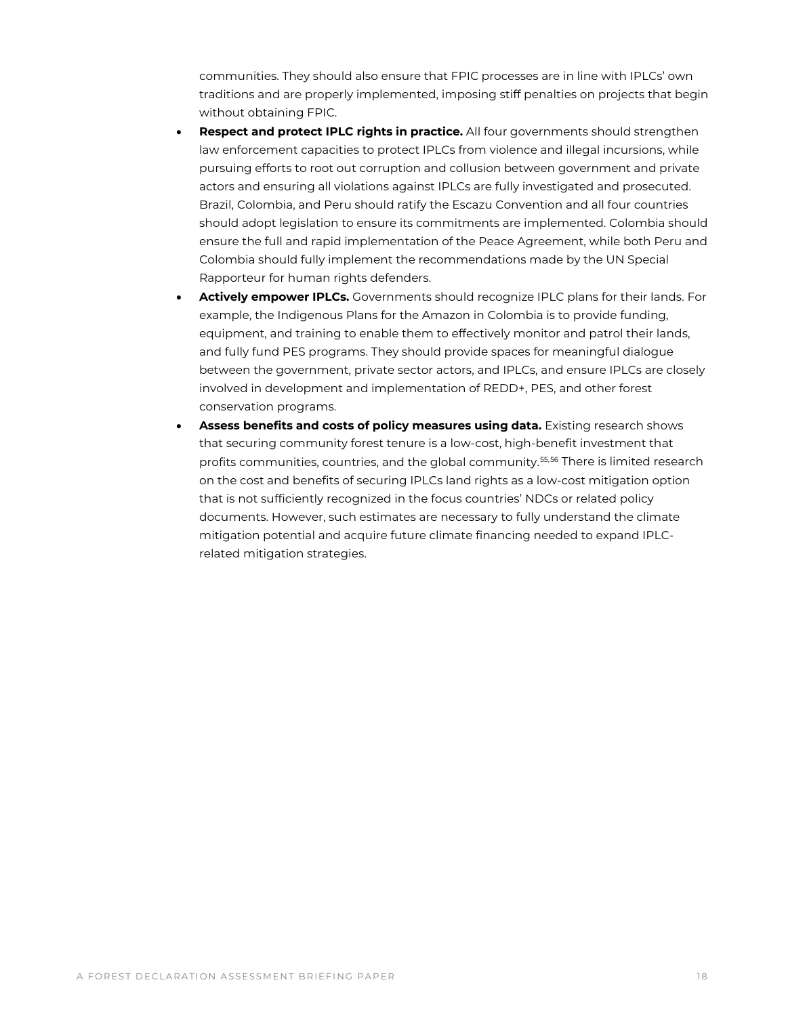communities. They should also ensure that FPIC processes are in line with IPLCs' own traditions and are properly implemented, imposing stiff penalties on projects that begin without obtaining FPIC.

- **Respect and protect IPLC rights in practice.** All four governments should strengthen law enforcement capacities to protect IPLCs from violence and illegal incursions, while pursuing efforts to root out corruption and collusion between government and private actors and ensuring all violations against IPLCs are fully investigated and prosecuted. Brazil, Colombia, and Peru should ratify the Escazu Convention and all four countries should adopt legislation to ensure its commitments are implemented. Colombia should ensure the full and rapid implementation of the Peace Agreement, while both Peru and Colombia should fully implement the recommendations made by the UN Special Rapporteur for human rights defenders.
- **Actively empower IPLCs.** Governments should recognize IPLC plans for their lands. For example, the Indigenous Plans for the Amazon in Colombia is to provide funding, equipment, and training to enable them to effectively monitor and patrol their lands, and fully fund PES programs. They should provide spaces for meaningful dialogue between the government, private sector actors, and IPLCs, and ensure IPLCs are closely involved in development and implementation of REDD+, PES, and other forest conservation programs.
- **Assess benefits and costs of policy measures using data.** Existing research shows that securing community forest tenure is a low-cost, high-benefit investment that profits communities, countries, and the global community.<sup>[55](#page-21-29),[56](#page-21-30)</sup> There is limited research on the cost and benefits of securing IPLCs land rights as a low-cost mitigation option that is not sufficiently recognized in the focus countries' NDCs or related policy documents. However, such estimates are necessary to fully understand the climate mitigation potential and acquire future climate financing needed to expand IPLCrelated mitigation strategies.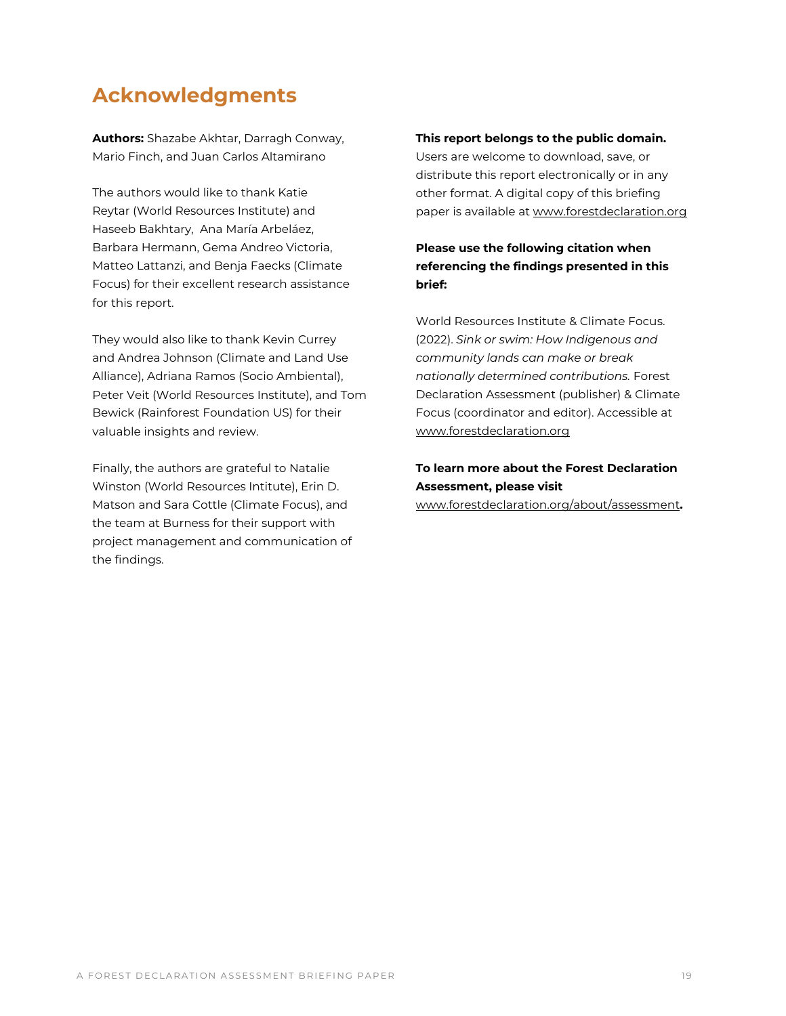## **Acknowledgments**

**Authors:** Shazabe Akhtar, Darragh Conway, Mario Finch, and Juan Carlos Altamirano

The authors would like to thank Katie Reytar (World Resources Institute) and Haseeb Bakhtary, Ana María Arbeláez, Barbara Hermann, Gema Andreo Victoria, Matteo Lattanzi, and Benja Faecks (Climate Focus) for their excellent research assistance for this report.

They would also like to thank Kevin Currey and Andrea Johnson (Climate and Land Use Alliance), Adriana Ramos (Socio Ambiental), Peter Veit (World Resources Institute), and Tom Bewick (Rainforest Foundation US) for their valuable insights and review.

Finally, the authors are grateful to Natalie Winston (World Resources Intitute), Erin D. Matson and Sara Cottle (Climate Focus), and the team at Burness for their support with project management and communication of the findings.

#### **This report belongs to the public domain.**

Users are welcome to download, save, or distribute this report electronically or in any other format. A digital copy of this briefing paper is available at [www.forestdeclaration.org](http://www.forestdeclaration.org/)

#### **Please use the following citation when referencing the findings presented in this brief:**

World Resources Institute & Climate Focus. (2022). *Sink or swim: How Indigenous and community lands can make or break nationally determined contributions.* Forest Declaration Assessment (publisher) & Climate Focus (coordinator and editor). Accessible at [www.forestdeclaration.org](http://www.forestdeclaration.org/)

### **To learn more about the Forest Declaration Assessment, please visit**

www.forestdeclaration.org/about/assessment**.**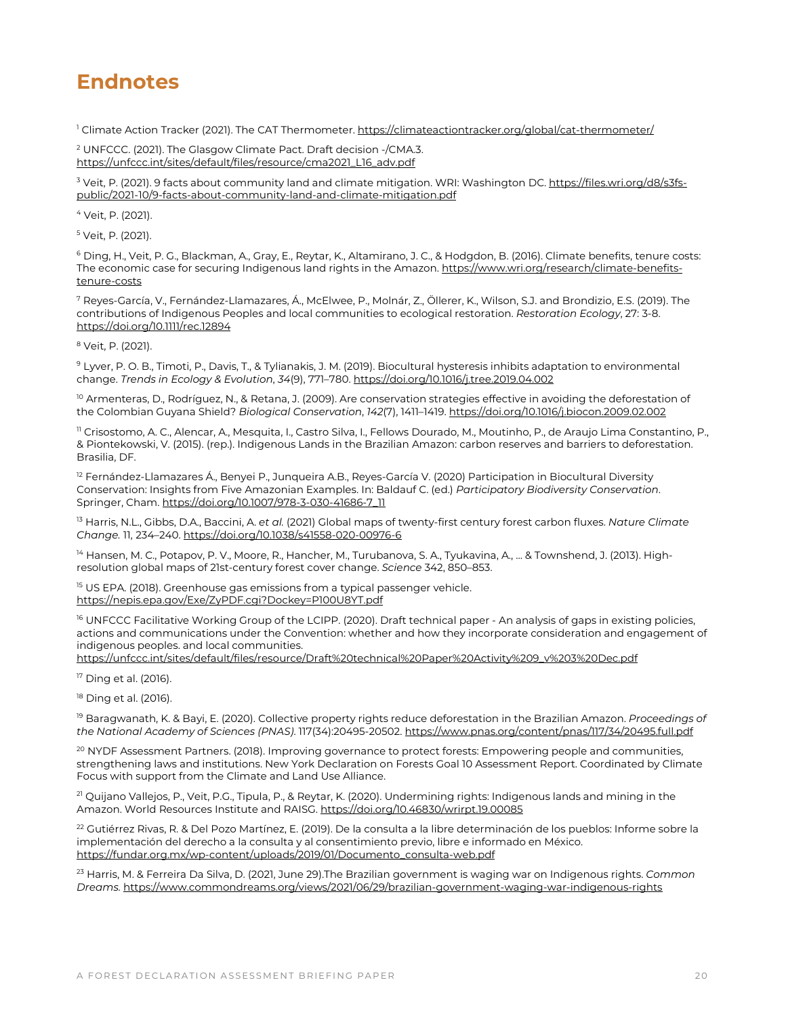## **Endnotes**

<sup>1</sup> Climate Action Tracker (2021). The CAT Thermometer[. https://climateactiontracker.org/global/cat-thermometer/](https://climateactiontracker.org/global/cat-thermometer/)

<sup>2</sup> UNFCCC. (2021). The Glasgow Climate Pact. Draft decision -/CMA.3. [https://unfccc.int/sites/default/files/resource/cma2021\\_L16\\_adv.pdf](https://unfccc.int/sites/default/files/resource/cma2021_L16_adv.pdf) 

<sup>3</sup> Veit, P. (2021). 9 facts about community land and climate mitigation. WRI: Washington DC. [https://files.wri.org/d8/s3fs](https://files.wri.org/d8/s3fs-public/2021-10/9-facts-about-community-land-and-climate-mitigation.pdf)[public/2021-10/9-facts-about-community-land-and-climate-mitigation.pdf](https://files.wri.org/d8/s3fs-public/2021-10/9-facts-about-community-land-and-climate-mitigation.pdf)

<sup>4</sup> Veit, P. (2021).

<sup>5</sup> Veit, P. (2021).

<sup>6</sup> Ding, H., Veit, P. G., Blackman, A., Gray, E., Reytar, K., Altamirano, J. C., & Hodgdon, B. (2016). Climate benefits, tenure costs: The economic case for securing Indigenous land rights in the Amazon. [https://www.wri.org/research/climate-benefits](https://www.wri.org/research/climate-benefits-tenure-costs)[tenure-costs](https://www.wri.org/research/climate-benefits-tenure-costs)

<sup>7</sup> Reyes-García, V., Fernández-Llamazares, Á., McElwee, P., Molnár, Z., Öllerer, K., Wilson, S.J. and Brondizio, E.S. (2019). The contributions of Indigenous Peoples and local communities to ecological restoration. *Restoration Ecology*, 27: 3-8. https://doi.org/10.1111/rec.12894

<sup>8</sup> Veit, P. (2021).

<sup>9</sup> Lyver, P. O. B., Timoti, P., Davis, T., & Tylianakis, J. M. (2019). Biocultural hysteresis inhibits adaptation to environmental change. *Trends in Ecology & Evolution*, *34*(9), 771–780. https://doi.org/10.1016/j.tree.2019.04.002

<sup>10</sup> Armenteras, D., Rodríguez, N., & Retana, J. (2009). Are conservation strategies effective in avoiding the deforestation of the Colombian Guyana Shield? *Biological Conservation*, *142*(7), 1411–1419. https://doi.org/10.1016/j.biocon.2009.02.002

<sup>11</sup> Crisostomo, A. C., Alencar, A., Mesquita, I., Castro Silva, I., Fellows Dourado, M., Moutinho, P., de Araujo Lima Constantino, P., & Piontekowski, V. (2015). (rep.). Indigenous Lands in the Brazilian Amazon: carbon reserves and barriers to deforestation. Brasilia, DF.

 $12$  Fernández-Llamazares Á., Benyei P., Junqueira A.B., Reyes-García V. (2020) Participation in Biocultural Diversity Conservation: Insights from Five Amazonian Examples. In: Baldauf C. (ed.) *Participatory Biodiversity Conservation*. Springer, Cham. https://doi.org/10.1007/978-3-030-41686-7\_11

<sup>13</sup> Harris, N.L., Gibbs, D.A., Baccini, A. *et al.* (2021) Global maps of twenty-first century forest carbon fluxes. *Nature Climate Change.* 11, 234–240. https://doi.org/10.1038/s41558-020-00976-6

<sup>14</sup> Hansen, M. C., Potapov, P. V., Moore, R., Hancher, M., Turubanova, S. A., Tyukavina, A., ... & Townshend, J. (2013). Highresolution global maps of 21st-century forest cover change. *Science* 342, 850–853.

<sup>15</sup> US EPA. (2018). Greenhouse gas emissions from a typical passenger vehicle. <https://nepis.epa.gov/Exe/ZyPDF.cgi?Dockey=P100U8YT.pdf>

<sup>16</sup> UNFCCC Facilitative Working Group of the LCIPP. (2020). Draft technical paper - An analysis of gaps in existing policies, actions and communications under the Convention: whether and how they incorporate consideration and engagement of indigenous peoples. and local communities.

[https://unfccc.int/sites/default/files/resource/Draft%20technical%20Paper%20Activity%209\\_v%203%20Dec.pdf](https://unfccc.int/sites/default/files/resource/Draft%20technical%20Paper%20Activity%209_v%203%20Dec.pdf) 

<sup>17</sup> Ding et al. (2016).

<sup>18</sup> Ding et al. (2016).

<sup>19</sup> Baragwanath, K. & Bayi, E. (2020). Collective property rights reduce deforestation in the Brazilian Amazon. *Proceedings of the National Academy of Sciences (PNAS)*. 117(34):20495-20502[. https://www.pnas.org/content/pnas/117/34/20495.full.pdf](https://www.pnas.org/content/pnas/117/34/20495.full.pdf) 

<sup>20</sup> NYDF Assessment Partners. (2018). Improving governance to protect forests: Empowering people and communities, strengthening laws and institutions. New York Declaration on Forests Goal 10 Assessment Report. Coordinated by Climate Focus with support from the Climate and Land Use Alliance.

<sup>21</sup> Quijano Vallejos, P., Veit, P.G., Tipula, P., & Reytar, K. (2020). Undermining rights: Indigenous lands and mining in the Amazon. World Resources Institute and RAISG. <https://doi.org/10.46830/wrirpt.19.00085>

<sup>22</sup> Gutiérrez Rivas, R. & Del Pozo Martínez, E. (2019). De la consulta a la libre determinación de los pueblos: Informe sobre la implementación del derecho a la consulta y al consentimiento previo, libre e informado en México. [https://fundar.org.mx/wp-content/uploads/2019/01/Documento\\_consulta-web.pdf](https://fundar.org.mx/wp-content/uploads/2019/01/Documento_consulta-web.pdf)

<sup>23</sup> Harris, M. & Ferreira Da Silva, D. (2021, June 29).The Brazilian government is waging war on Indigenous rights. *Common Dreams.* <https://www.commondreams.org/views/2021/06/29/brazilian-government-waging-war-indigenous-rights>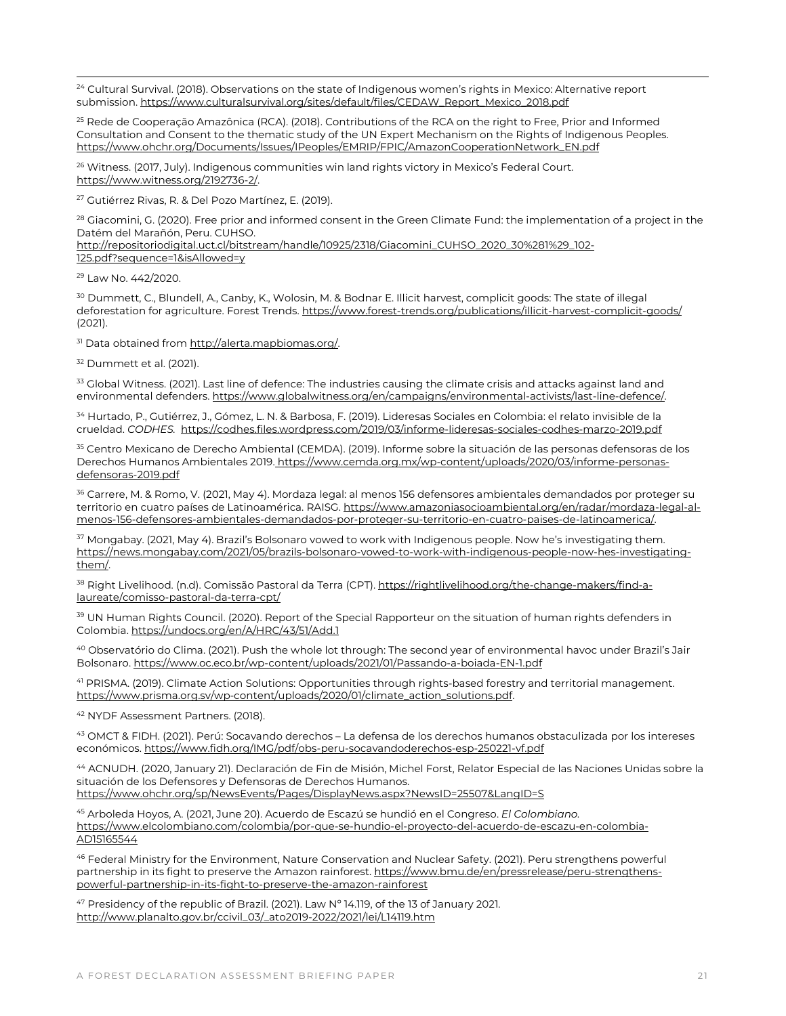<sup>24</sup> Cultural Survival. (2018). Observations on the state of Indigenous women's rights in Mexico: Alternative report submission[. https://www.culturalsurvival.org/sites/default/files/CEDAW\\_Report\\_Mexico\\_2018.pdf](https://www.culturalsurvival.org/sites/default/files/CEDAW_Report_Mexico_2018.pdf)

<span id="page-20-0"></span><sup>25</sup> Rede de Cooperação Amazônica (RCA). (2018). Contributions of the RCA on the right to Free, Prior and Informed Consultation and Consent to the thematic study of the UN Expert Mechanism on the Rights of Indigenous Peoples. [https://www.ohchr.org/Documents/Issues/IPeoples/EMRIP/FPIC/AmazonCooperationNetwork\\_EN.pdf](https://www.ohchr.org/Documents/Issues/IPeoples/EMRIP/FPIC/AmazonCooperationNetwork_EN.pdf) 

<span id="page-20-2"></span><span id="page-20-1"></span><sup>26</sup> Witness. (2017, July). Indigenous communities win land rights victory in Mexico's Federal Court. https://www.witness.org/2192736-2/.

<sup>27</sup> Gutiérrez Rivas, R. & Del Pozo Martínez, E. (2019).

<span id="page-20-3"></span><sup>28</sup> Giacomini, G. (2020). Free prior and informed consent in the Green Climate Fund: the implementation of a project in the Datém del Marañón, Peru. CUHSO.

<span id="page-20-5"></span><span id="page-20-4"></span>http://repositoriodigital.uct.cl/bitstream/handle/10925/2318/Giacomini\_CUHSO\_2020\_30%281%29\_102- 125.pdf?sequence=1&isAllowed=y

<sup>29</sup> Law No. 442/2020.

<span id="page-20-6"></span><sup>30</sup> Dummett, C., Blundell, A., Canby, K., Wolosin, M. & Bodnar E. Illicit harvest, complicit goods: The state of illegal deforestation for agriculture. Forest Trends. https://www.forest-trends.org/publications/illicit-harvest-complicit-goods/ (2021).

<span id="page-20-7"></span><sup>31</sup> Data obtained fro[m http://alerta.mapbiomas.org/.](http://alerta.mapbiomas.org/) 

<span id="page-20-8"></span><sup>32</sup> Dummett et al. (2021).

<span id="page-20-9"></span><sup>33</sup> Global Witness. (2021). Last line of defence: The industries causing the climate crisis and attacks against land and environmental defenders[. https://www.globalwitness.org/en/campaigns/environmental-activists/last-line-defence/.](https://www.globalwitness.org/en/campaigns/environmental-activists/last-line-defence/) 

<span id="page-20-10"></span><sup>34</sup> Hurtado, P., Gutiérrez, J., Gómez, L. N. & Barbosa, F. (2019). Lideresas Sociales en Colombia: el relato invisible de la crueldad. *CODHES.* https://codhes.files.wordpress.com/2019/03/informe-lideresas-sociales-codhes-marzo-2019.pdf

<sup>35</sup> Centro Mexicano de Derecho Ambiental (CEMDA). (2019). Informe sobre la situación de las personas defensoras de los Derechos Humanos Ambientales 2019. [https://www.cemda.org.mx/wp-content/uploads/2020/03/informe-personas](https://www.cemda.org.mx/wp-content/uploads/2020/03/informe-personas-defensoras-2019.pdf)[defensoras-2019.pdf](https://www.cemda.org.mx/wp-content/uploads/2020/03/informe-personas-defensoras-2019.pdf)

<span id="page-20-11"></span><sup>36</sup> Carrere, M. & Romo, V. (2021, May 4). Mordaza legal: al menos 156 defensores ambientales demandados por proteger su territorio en cuatro países de Latinoamérica. RAISG[. https://www.amazoniasocioambiental.org/en/radar/mordaza-legal-al](https://www.amazoniasocioambiental.org/en/radar/mordaza-legal-al-menos-156-defensores-ambientales-demandados-por-proteger-su-territorio-en-cuatro-paises-de-latinoamerica/)[menos-156-defensores-ambientales-demandados-por-proteger-su-territorio-en-cuatro-paises-de-latinoamerica/.](https://www.amazoniasocioambiental.org/en/radar/mordaza-legal-al-menos-156-defensores-ambientales-demandados-por-proteger-su-territorio-en-cuatro-paises-de-latinoamerica/) 

<span id="page-20-13"></span><span id="page-20-12"></span><sup>37</sup> Mongabay. (2021, May 4). Brazil's Bolsonaro vowed to work with Indigenous people. Now he's investigating them. https://news.mongabay.com/2021/05/brazils-bolsonaro-vowed-to-work-with-indigenous-people-now-hes-investigatingthem/.

<span id="page-20-14"></span><sup>38</sup> Right Livelihood. (n.d). Comissão Pastoral da Terra (CPT). https://rightlivelihood.org/the-change-makers/find-alaureate/comisso-pastoral-da-terra-cpt/

<span id="page-20-15"></span><sup>39</sup> UN Human Rights Council. (2020). Report of the Special Rapporteur on the situation of human rights defenders in Colombia. https://undocs.org/en/A/HRC/43/51/Add.1

<sup>40</sup> Observatório do Clima. (2021). Push the whole lot through: The second year of environmental havoc under Brazil's Jair Bolsonaro. https://www.oc.eco.br/wp-content/uploads/2021/01/Passando-a-boiada-EN-1.pdf

<span id="page-20-17"></span><span id="page-20-16"></span><sup>41</sup> PRISMA. (2019). Climate Action Solutions: Opportunities through rights-based forestry and territorial management. [https://www.prisma.org.sv/wp-content/uploads/2020/01/climate\\_action\\_solutions.pdf.](https://www.prisma.org.sv/wp-content/uploads/2020/01/climate_action_solutions.pdf)

<span id="page-20-18"></span><sup>42</sup> NYDF Assessment Partners. (2018).

<span id="page-20-19"></span><sup>43</sup> OMCT & FIDH. (2021). Perú: Socavando derechos – La defensa de los derechos humanos obstaculizada por los intereses económicos. https://www.fidh.org/IMG/pdf/obs-peru-socavandoderechos-esp-250221-vf.pdf

<sup>44</sup> ACNUDH. (2020, January 21). Declaración de Fin de Misión, Michel Forst, Relator Especial de las Naciones Unidas sobre la situación de los Defensores y Defensoras de Derechos Humanos.

<span id="page-20-20"></span>https://www.ohchr.org/sp/NewsEvents/Pages/DisplayNews.aspx?NewsID=25507&LangID=S

<span id="page-20-21"></span><sup>45</sup> Arboleda Hoyos, A. (2021, June 20). Acuerdo de Escazú se hundió en el Congreso. *El Colombiano.*  https://www.elcolombiano.com/colombia/por-que-se-hundio-el-proyecto-del-acuerdo-de-escazu-en-colombia-AD15165544

<span id="page-20-22"></span><sup>46</sup> Federal Ministry for the Environment, Nature Conservation and Nuclear Safety. (2021). Peru strengthens powerful partnership in its fight to preserve the Amazon rainforest. https://www.bmu.de/en/pressrelease/peru-strengthenspowerful-partnership-in-its-fight-to-preserve-the-amazon-rainforest

 $47$  Presidency of the republic of Brazil. (2021). Law  $N^{\circ}$  14.119, of the 13 of January 2021. http://www.planalto.gov.br/ccivil\_03/\_ato2019-2022/2021/lei/L14119.htm